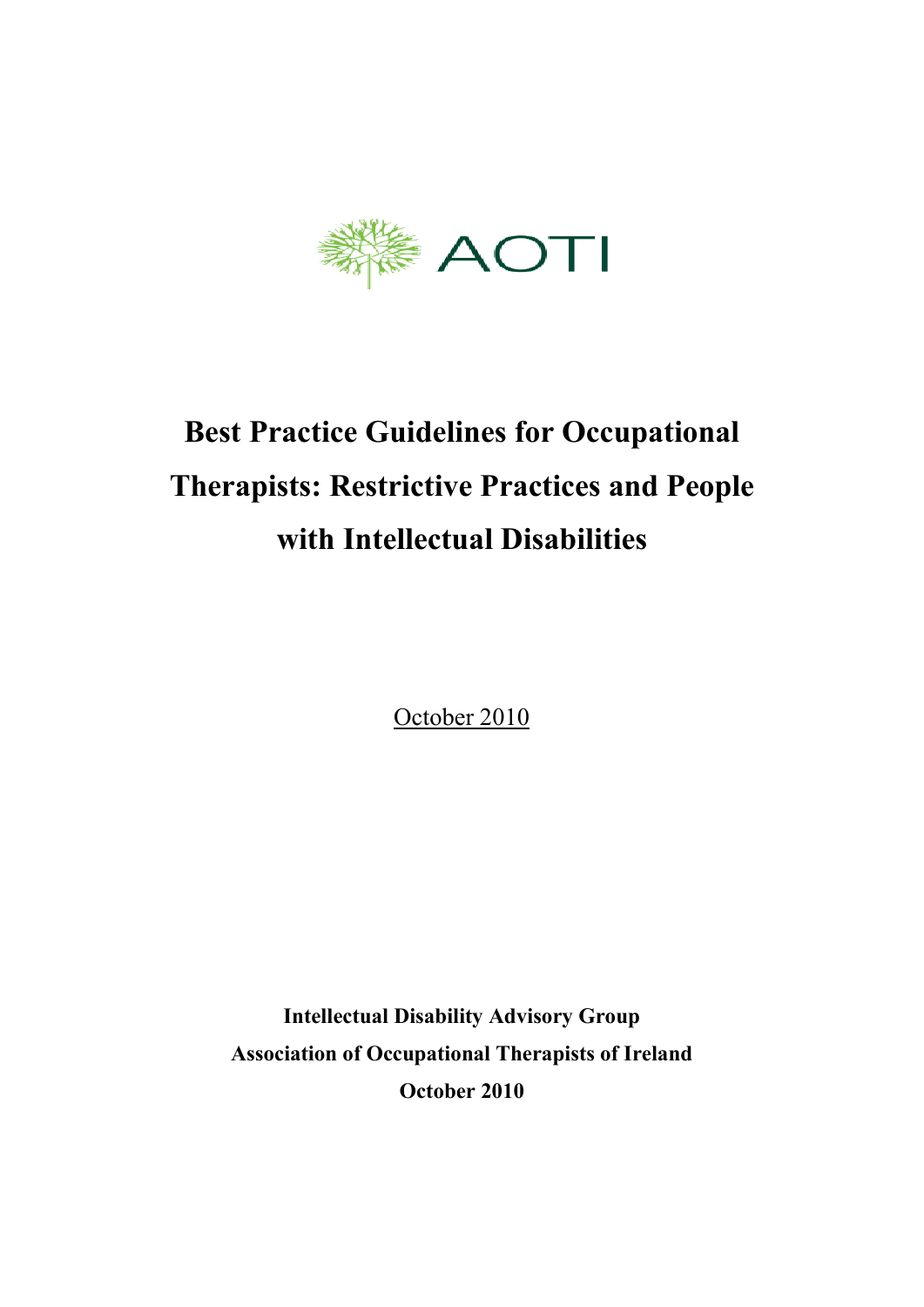

# **Best Practice Guidelines for Occupational Therapists: Restrictive Practices and People with Intellectual Disabilities**

October 2010

**Intellectual Disability Advisory Group Association of Occupational Therapists of Ireland October 2010**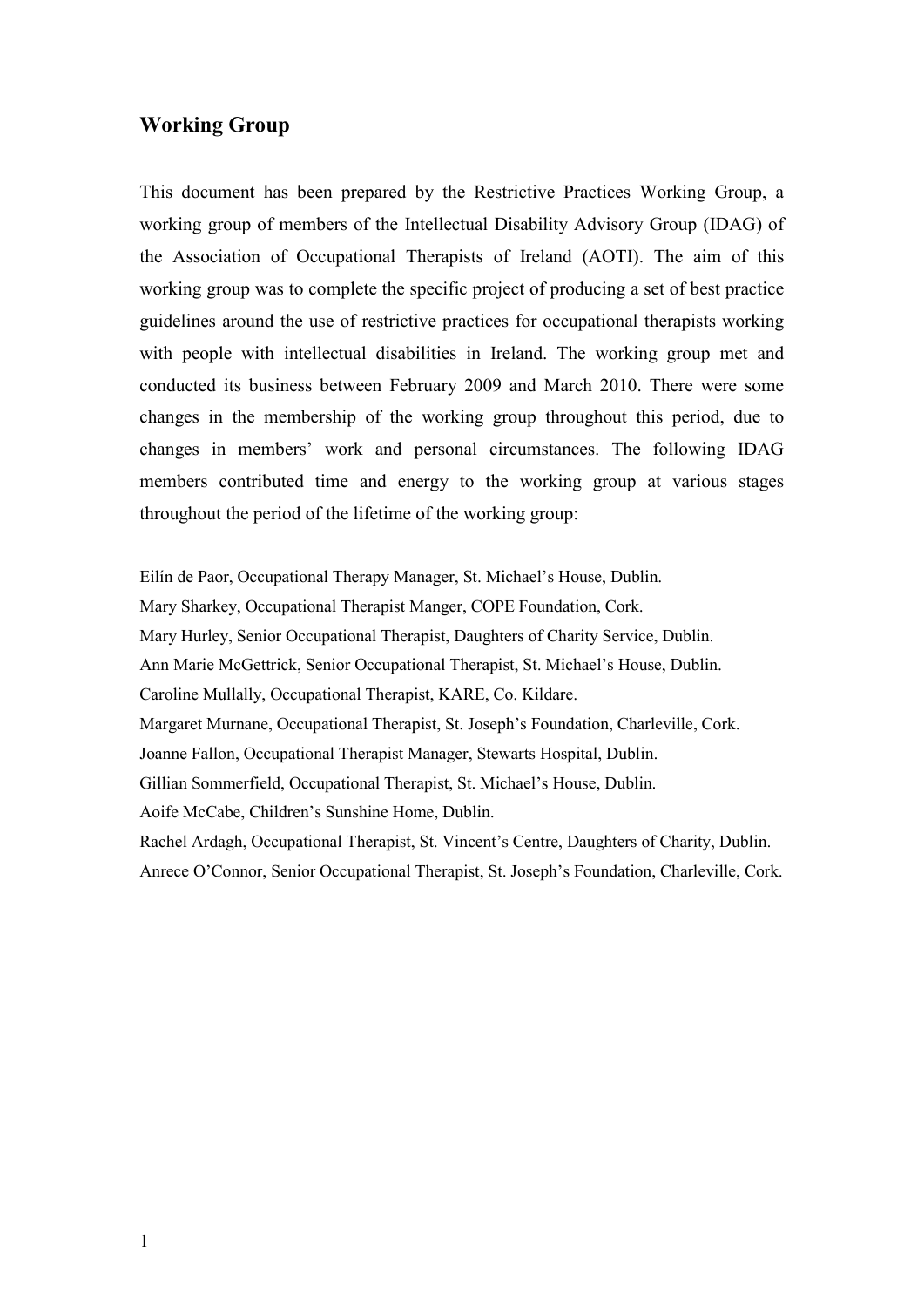#### **Working Group**

This document has been prepared by the Restrictive Practices Working Group, a working group of members of the Intellectual Disability Advisory Group (IDAG) of the Association of Occupational Therapists of Ireland (AOTI). The aim of this working group was to complete the specific project of producing a set of best practice guidelines around the use of restrictive practices for occupational therapists working with people with intellectual disabilities in Ireland. The working group met and conducted its business between February 2009 and March 2010. There were some changes in the membership of the working group throughout this period, due to changes in members' work and personal circumstances. The following IDAG members contributed time and energy to the working group at various stages throughout the period of the lifetime of the working group:

Eilín de Paor, Occupational Therapy Manager, St. Michael's House, Dublin. Mary Sharkey, Occupational Therapist Manger, COPE Foundation, Cork. Mary Hurley, Senior Occupational Therapist, Daughters of Charity Service, Dublin. Ann Marie McGettrick, Senior Occupational Therapist, St. Michael's House, Dublin. Caroline Mullally, Occupational Therapist, KARE, Co. Kildare. Margaret Murnane, Occupational Therapist, St. Joseph's Foundation, Charleville, Cork. Joanne Fallon, Occupational Therapist Manager, Stewarts Hospital, Dublin. Gillian Sommerfield, Occupational Therapist, St. Michael's House, Dublin. Aoife McCabe, Children's Sunshine Home, Dublin. Rachel Ardagh, Occupational Therapist, St. Vincent's Centre, Daughters of Charity, Dublin. Anrece O'Connor, Senior Occupational Therapist, St. Joseph's Foundation, Charleville, Cork.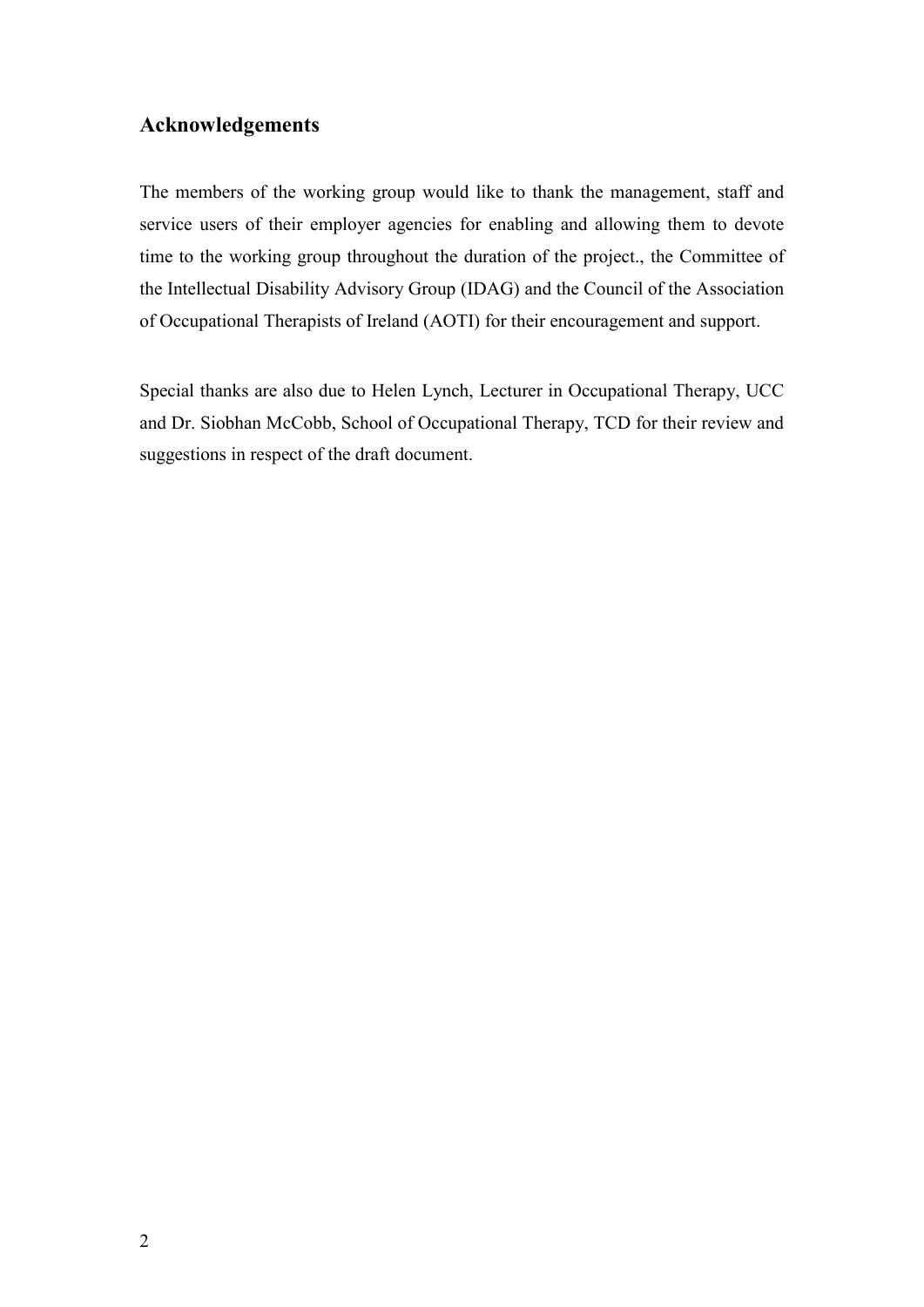### **Acknowledgements**

The members of the working group would like to thank the management, staff and service users of their employer agencies for enabling and allowing them to devote time to the working group throughout the duration of the project., the Committee of the Intellectual Disability Advisory Group (IDAG) and the Council of the Association of Occupational Therapists of Ireland (AOTI) for their encouragement and support.

Special thanks are also due to Helen Lynch, Lecturer in Occupational Therapy, UCC and Dr. Siobhan McCobb, School of Occupational Therapy, TCD for their review and suggestions in respect of the draft document.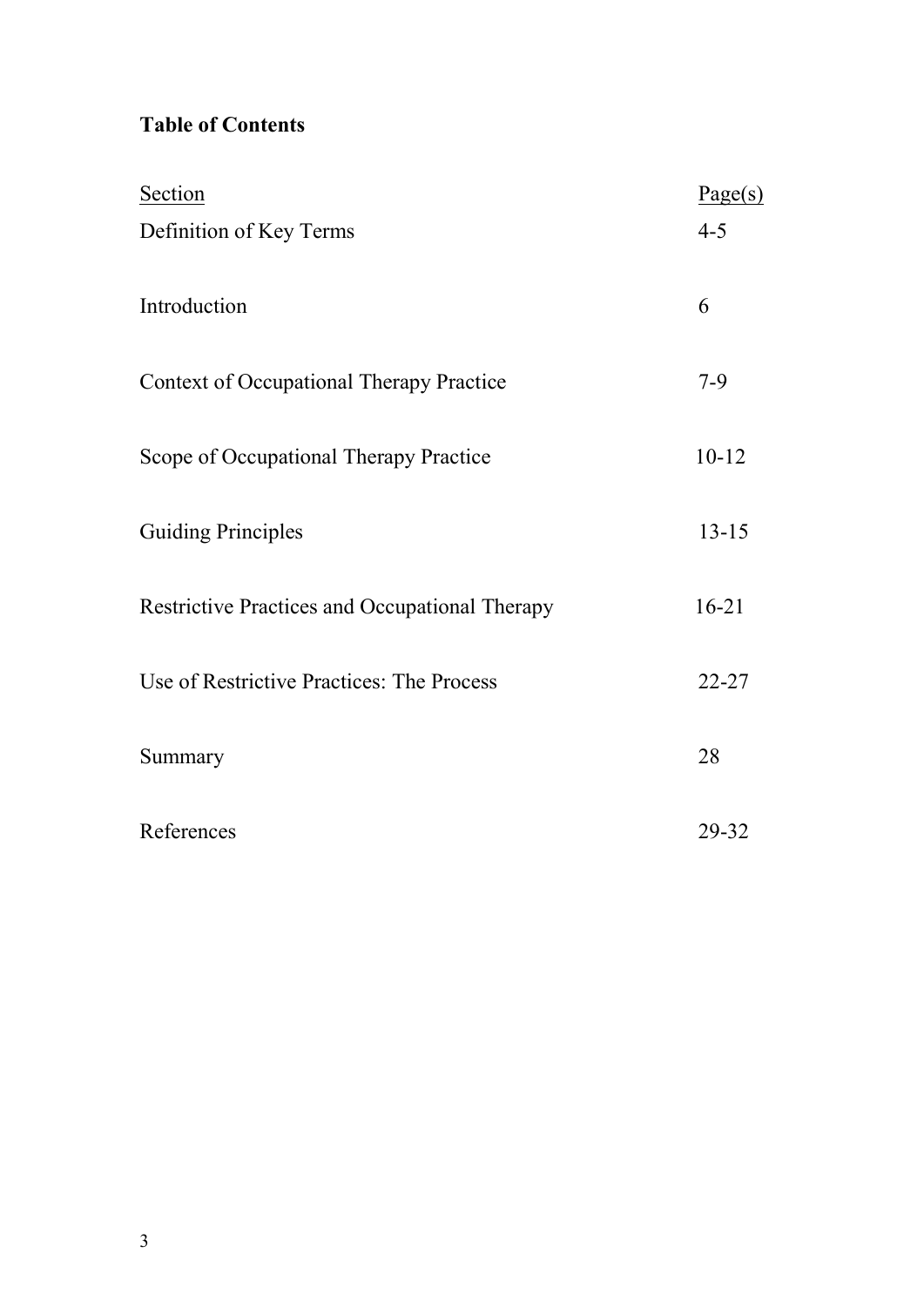# **Table of Contents**

| Section                                         | Page(s)   |
|-------------------------------------------------|-----------|
| Definition of Key Terms                         | $4 - 5$   |
| Introduction                                    | 6         |
| <b>Context of Occupational Therapy Practice</b> | $7-9$     |
| Scope of Occupational Therapy Practice          | $10 - 12$ |
| <b>Guiding Principles</b>                       | $13 - 15$ |
| Restrictive Practices and Occupational Therapy  | $16 - 21$ |
| Use of Restrictive Practices: The Process       | $22 - 27$ |
| Summary                                         | 28        |
| References                                      | 29-32     |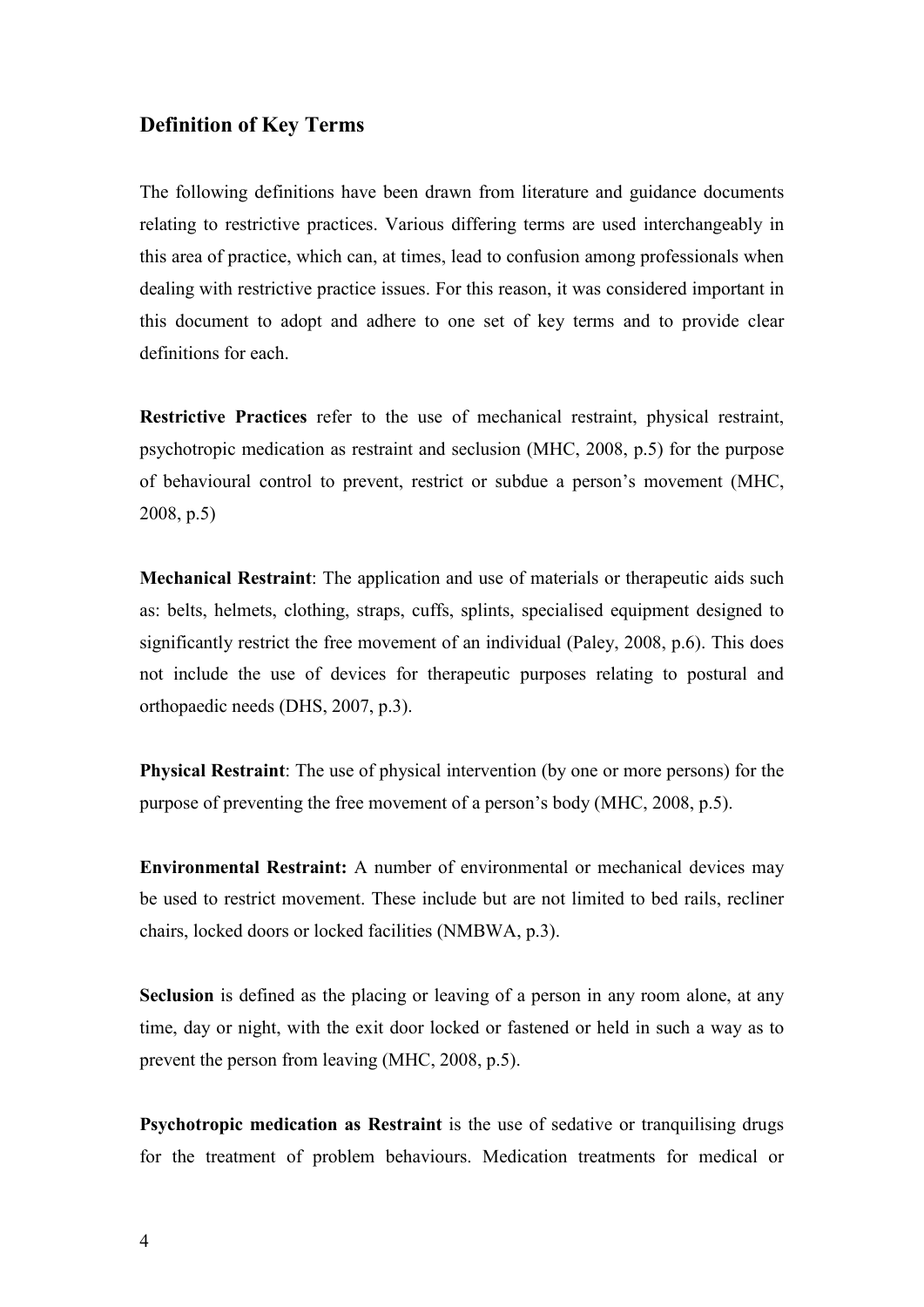#### **Definition of Key Terms**

The following definitions have been drawn from literature and guidance documents relating to restrictive practices. Various differing terms are used interchangeably in this area of practice, which can, at times, lead to confusion among professionals when dealing with restrictive practice issues. For this reason, it was considered important in this document to adopt and adhere to one set of key terms and to provide clear definitions for each.

**Restrictive Practices** refer to the use of mechanical restraint, physical restraint, psychotropic medication as restraint and seclusion (MHC, 2008, p.5) for the purpose of behavioural control to prevent, restrict or subdue a person's movement (MHC, 2008, p.5)

**Mechanical Restraint**: The application and use of materials or therapeutic aids such as: belts, helmets, clothing, straps, cuffs, splints, specialised equipment designed to significantly restrict the free movement of an individual (Paley, 2008, p.6). This does not include the use of devices for therapeutic purposes relating to postural and orthopaedic needs (DHS, 2007, p.3).

**Physical Restraint**: The use of physical intervention (by one or more persons) for the purpose of preventing the free movement of a person's body (MHC, 2008, p.5).

**Environmental Restraint:** A number of environmental or mechanical devices may be used to restrict movement. These include but are not limited to bed rails, recliner chairs, locked doors or locked facilities (NMBWA, p.3).

**Seclusion** is defined as the placing or leaving of a person in any room alone, at any time, day or night, with the exit door locked or fastened or held in such a way as to prevent the person from leaving (MHC, 2008, p.5).

**Psychotropic medication as Restraint** is the use of sedative or tranquilising drugs for the treatment of problem behaviours. Medication treatments for medical or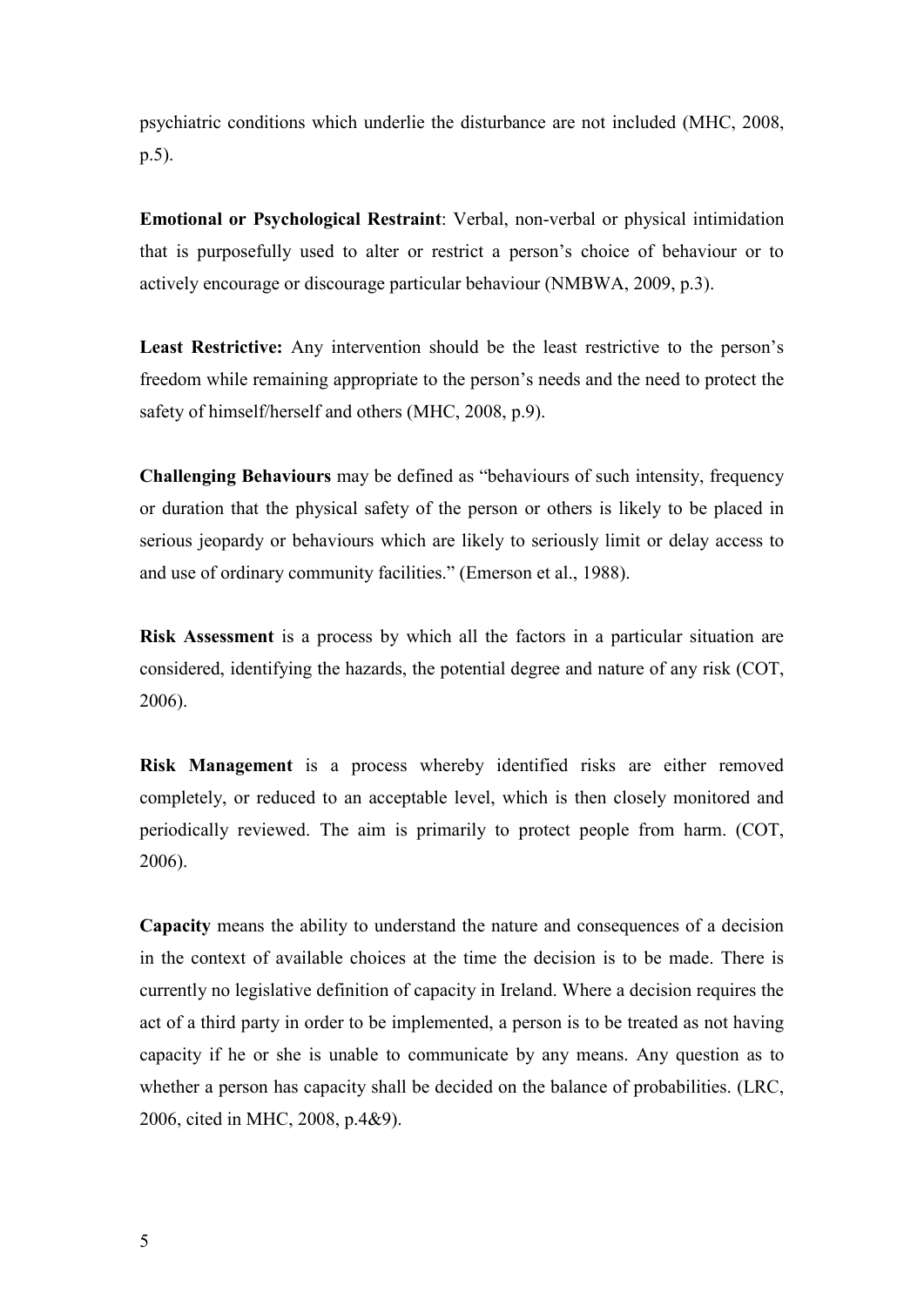psychiatric conditions which underlie the disturbance are not included (MHC, 2008, p.5).

**Emotional or Psychological Restraint**: Verbal, non-verbal or physical intimidation that is purposefully used to alter or restrict a person's choice of behaviour or to actively encourage or discourage particular behaviour (NMBWA, 2009, p.3).

**Least Restrictive:** Any intervention should be the least restrictive to the person's freedom while remaining appropriate to the person's needs and the need to protect the safety of himself/herself and others (MHC, 2008, p.9).

**Challenging Behaviours** may be defined as "behaviours of such intensity, frequency or duration that the physical safety of the person or others is likely to be placed in serious jeopardy or behaviours which are likely to seriously limit or delay access to and use of ordinary community facilities." (Emerson et al., 1988).

**Risk Assessment** is a process by which all the factors in a particular situation are considered, identifying the hazards, the potential degree and nature of any risk (COT, 2006).

**Risk Management** is a process whereby identified risks are either removed completely, or reduced to an acceptable level, which is then closely monitored and periodically reviewed. The aim is primarily to protect people from harm. (COT, 2006).

**Capacity** means the ability to understand the nature and consequences of a decision in the context of available choices at the time the decision is to be made. There is currently no legislative definition of capacity in Ireland. Where a decision requires the act of a third party in order to be implemented, a person is to be treated as not having capacity if he or she is unable to communicate by any means. Any question as to whether a person has capacity shall be decided on the balance of probabilities. (LRC, 2006, cited in MHC, 2008, p.4&9).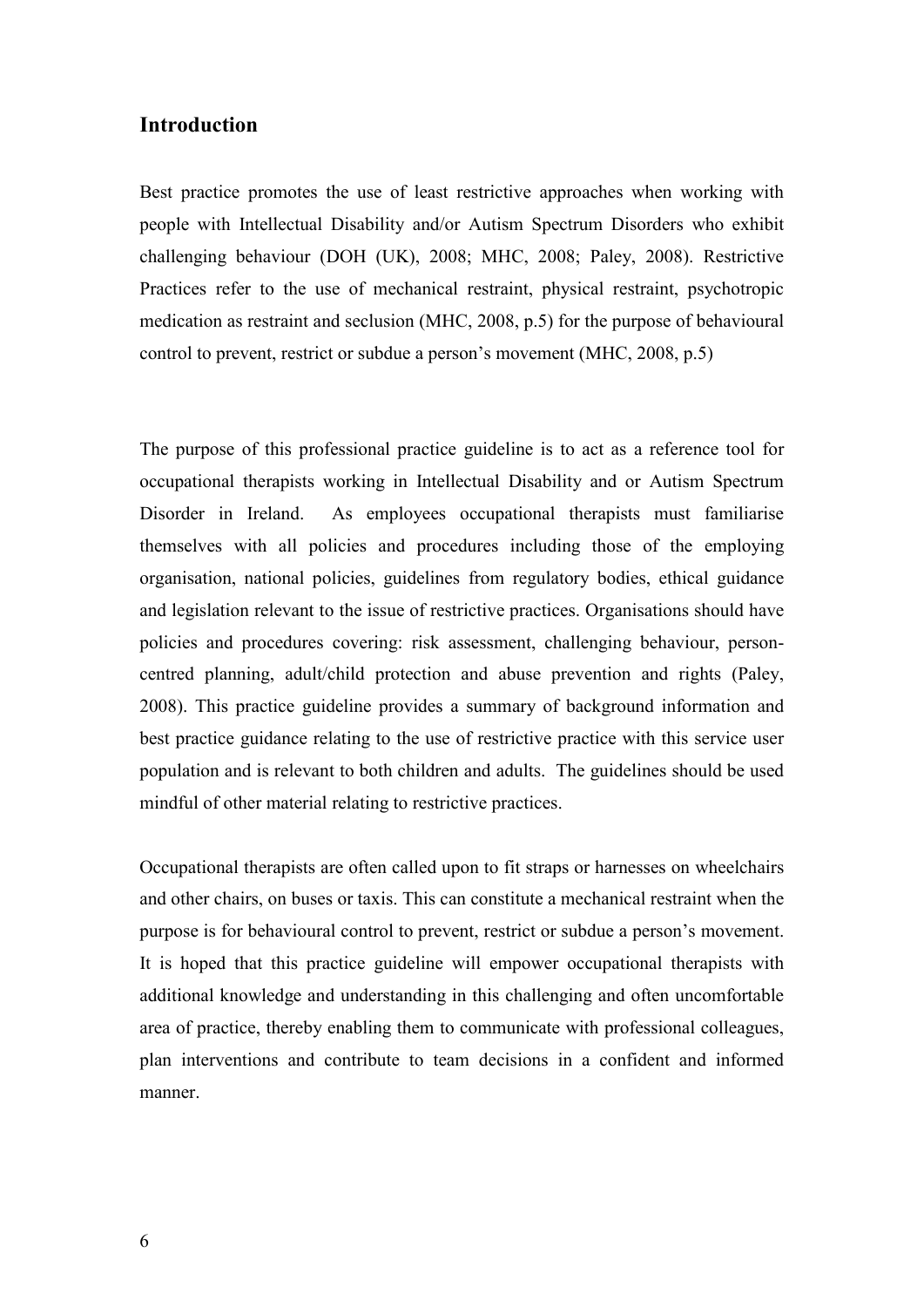#### **Introduction**

Best practice promotes the use of least restrictive approaches when working with people with Intellectual Disability and/or Autism Spectrum Disorders who exhibit challenging behaviour (DOH (UK), 2008; MHC, 2008; Paley, 2008). Restrictive Practices refer to the use of mechanical restraint, physical restraint, psychotropic medication as restraint and seclusion (MHC, 2008, p.5) for the purpose of behavioural control to prevent, restrict or subdue a person's movement (MHC, 2008, p.5)

The purpose of this professional practice guideline is to act as a reference tool for occupational therapists working in Intellectual Disability and or Autism Spectrum Disorder in Ireland. As employees occupational therapists must familiarise themselves with all policies and procedures including those of the employing organisation, national policies, guidelines from regulatory bodies, ethical guidance and legislation relevant to the issue of restrictive practices. Organisations should have policies and procedures covering: risk assessment, challenging behaviour, personcentred planning, adult/child protection and abuse prevention and rights (Paley, 2008). This practice guideline provides a summary of background information and best practice guidance relating to the use of restrictive practice with this service user population and is relevant to both children and adults. The guidelines should be used mindful of other material relating to restrictive practices.

Occupational therapists are often called upon to fit straps or harnesses on wheelchairs and other chairs, on buses or taxis. This can constitute a mechanical restraint when the purpose is for behavioural control to prevent, restrict or subdue a person's movement. It is hoped that this practice guideline will empower occupational therapists with additional knowledge and understanding in this challenging and often uncomfortable area of practice, thereby enabling them to communicate with professional colleagues, plan interventions and contribute to team decisions in a confident and informed manner.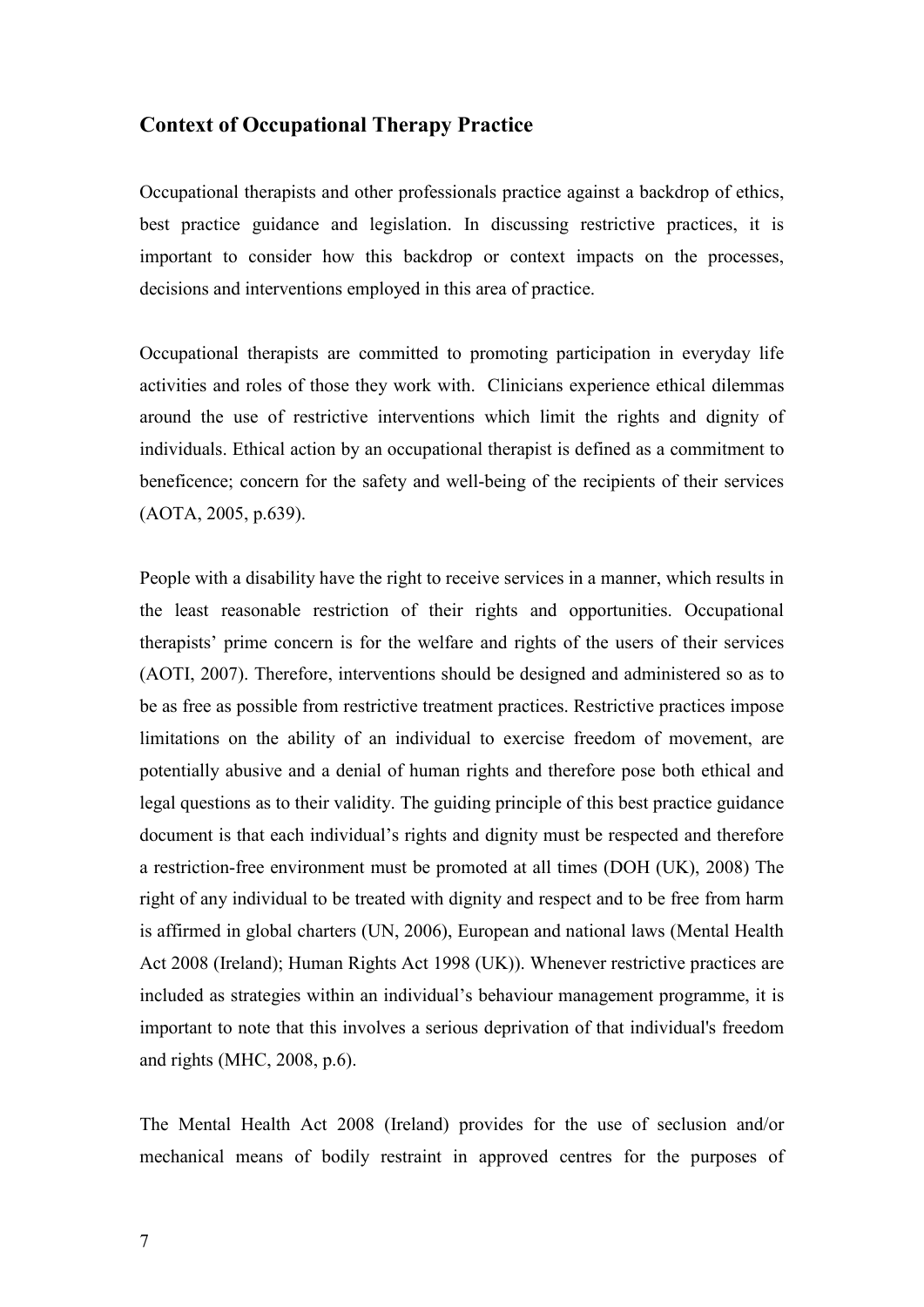#### **Context of Occupational Therapy Practice**

Occupational therapists and other professionals practice against a backdrop of ethics, best practice guidance and legislation. In discussing restrictive practices, it is important to consider how this backdrop or context impacts on the processes, decisions and interventions employed in this area of practice.

Occupational therapists are committed to promoting participation in everyday life activities and roles of those they work with. Clinicians experience ethical dilemmas around the use of restrictive interventions which limit the rights and dignity of individuals. Ethical action by an occupational therapist is defined as a commitment to beneficence; concern for the safety and well-being of the recipients of their services (AOTA, 2005, p.639).

People with a disability have the right to receive services in a manner, which results in the least reasonable restriction of their rights and opportunities. Occupational therapists' prime concern is for the welfare and rights of the users of their services (AOTI, 2007). Therefore, interventions should be designed and administered so as to be as free as possible from restrictive treatment practices. Restrictive practices impose limitations on the ability of an individual to exercise freedom of movement, are potentially abusive and a denial of human rights and therefore pose both ethical and legal questions as to their validity. The guiding principle of this best practice guidance document is that each individual's rights and dignity must be respected and therefore a restriction-free environment must be promoted at all times (DOH (UK), 2008) The right of any individual to be treated with dignity and respect and to be free from harm is affirmed in global charters (UN, 2006), European and national laws (Mental Health Act 2008 (Ireland); Human Rights Act 1998 (UK)). Whenever restrictive practices are included as strategies within an individual's behaviour management programme, it is important to note that this involves a serious deprivation of that individual's freedom and rights (MHC, 2008, p.6).

The Mental Health Act 2008 (Ireland) provides for the use of seclusion and/or mechanical means of bodily restraint in approved centres for the purposes of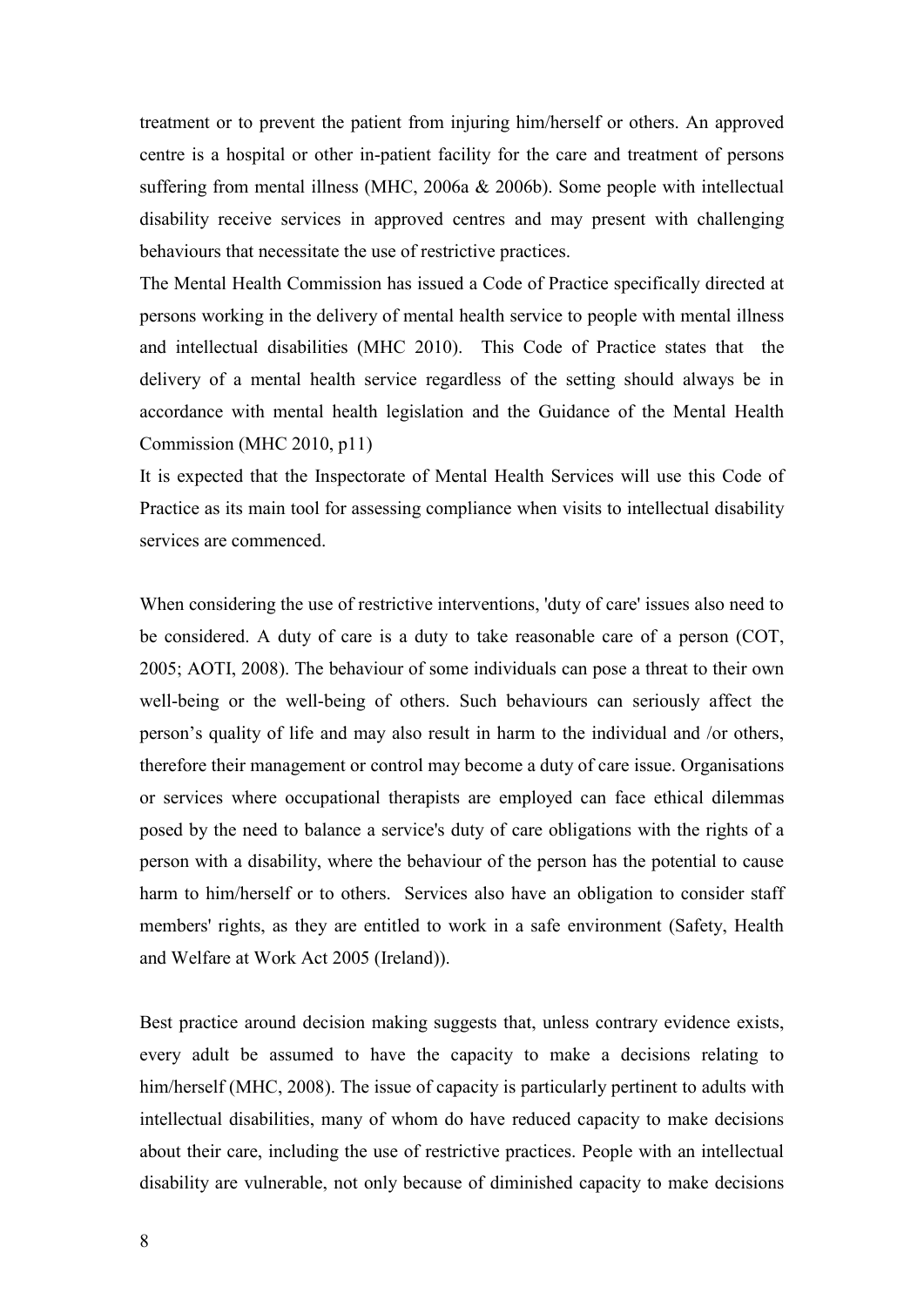treatment or to prevent the patient from injuring him/herself or others. An approved centre is a hospital or other in-patient facility for the care and treatment of persons suffering from mental illness (MHC, 2006a & 2006b). Some people with intellectual disability receive services in approved centres and may present with challenging behaviours that necessitate the use of restrictive practices.

The Mental Health Commission has issued a Code of Practice specifically directed at persons working in the delivery of mental health service to people with mental illness and intellectual disabilities (MHC 2010). This Code of Practice states that the delivery of a mental health service regardless of the setting should always be in accordance with mental health legislation and the Guidance of the Mental Health Commission (MHC 2010, p11)

It is expected that the Inspectorate of Mental Health Services will use this Code of Practice as its main tool for assessing compliance when visits to intellectual disability services are commenced.

When considering the use of restrictive interventions, 'duty of care' issues also need to be considered. A duty of care is a duty to take reasonable care of a person (COT, 2005; AOTI, 2008). The behaviour of some individuals can pose a threat to their own well-being or the well-being of others. Such behaviours can seriously affect the person's quality of life and may also result in harm to the individual and /or others, therefore their management or control may become a duty of care issue. Organisations or services where occupational therapists are employed can face ethical dilemmas posed by the need to balance a service's duty of care obligations with the rights of a person with a disability, where the behaviour of the person has the potential to cause harm to him/herself or to others. Services also have an obligation to consider staff members' rights, as they are entitled to work in a safe environment (Safety, Health and Welfare at Work Act 2005 (Ireland)).

Best practice around decision making suggests that, unless contrary evidence exists, every adult be assumed to have the capacity to make a decisions relating to him/herself (MHC, 2008). The issue of capacity is particularly pertinent to adults with intellectual disabilities, many of whom do have reduced capacity to make decisions about their care, including the use of restrictive practices. People with an intellectual disability are vulnerable, not only because of diminished capacity to make decisions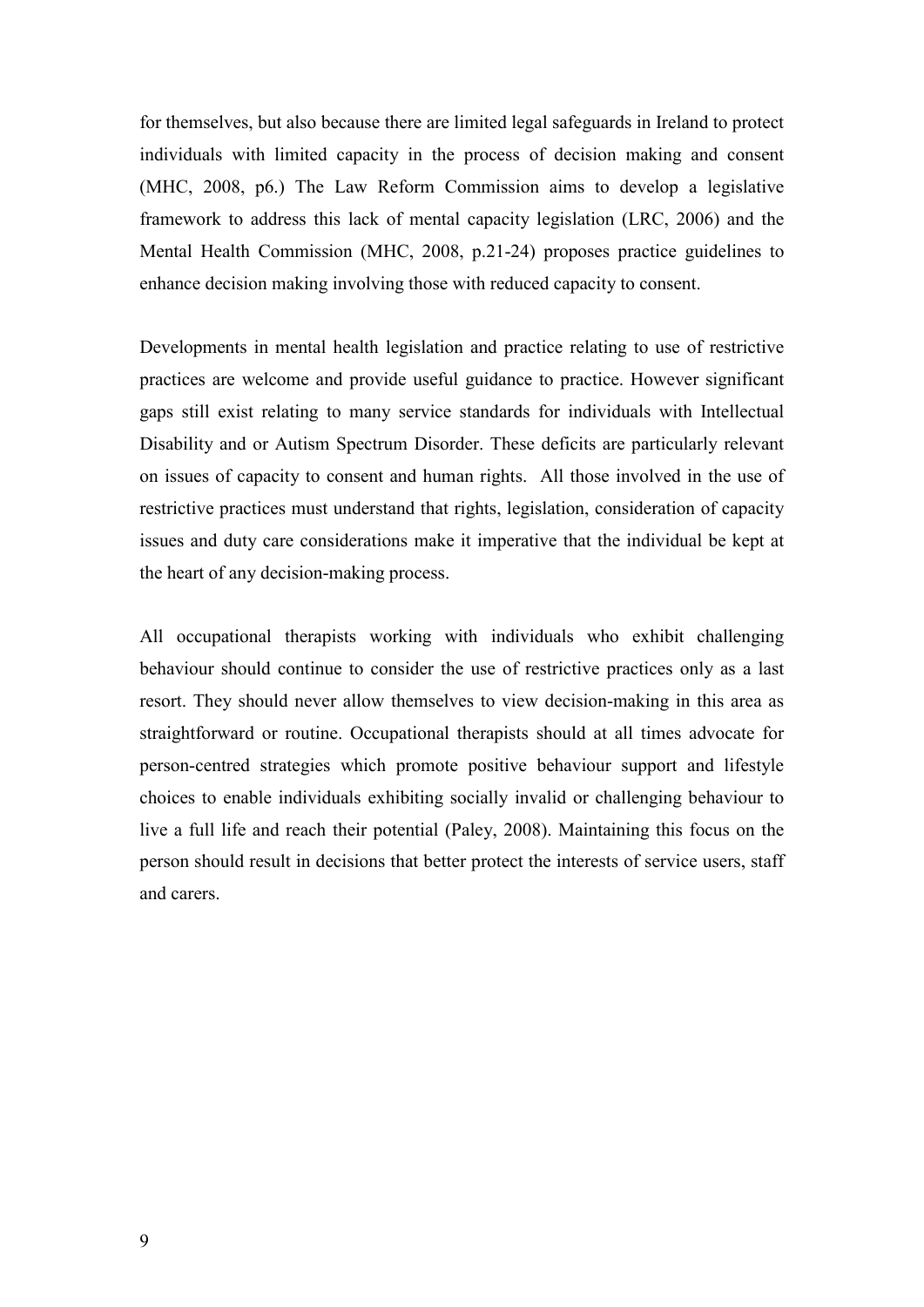for themselves, but also because there are limited legal safeguards in Ireland to protect individuals with limited capacity in the process of decision making and consent (MHC, 2008, p6.) The Law Reform Commission aims to develop a legislative framework to address this lack of mental capacity legislation (LRC, 2006) and the Mental Health Commission (MHC, 2008, p.21-24) proposes practice guidelines to enhance decision making involving those with reduced capacity to consent.

Developments in mental health legislation and practice relating to use of restrictive practices are welcome and provide useful guidance to practice. However significant gaps still exist relating to many service standards for individuals with Intellectual Disability and or Autism Spectrum Disorder. These deficits are particularly relevant on issues of capacity to consent and human rights. All those involved in the use of restrictive practices must understand that rights, legislation, consideration of capacity issues and duty care considerations make it imperative that the individual be kept at the heart of any decision-making process.

All occupational therapists working with individuals who exhibit challenging behaviour should continue to consider the use of restrictive practices only as a last resort. They should never allow themselves to view decision-making in this area as straightforward or routine. Occupational therapists should at all times advocate for person-centred strategies which promote positive behaviour support and lifestyle choices to enable individuals exhibiting socially invalid or challenging behaviour to live a full life and reach their potential (Paley, 2008). Maintaining this focus on the person should result in decisions that better protect the interests of service users, staff and carers.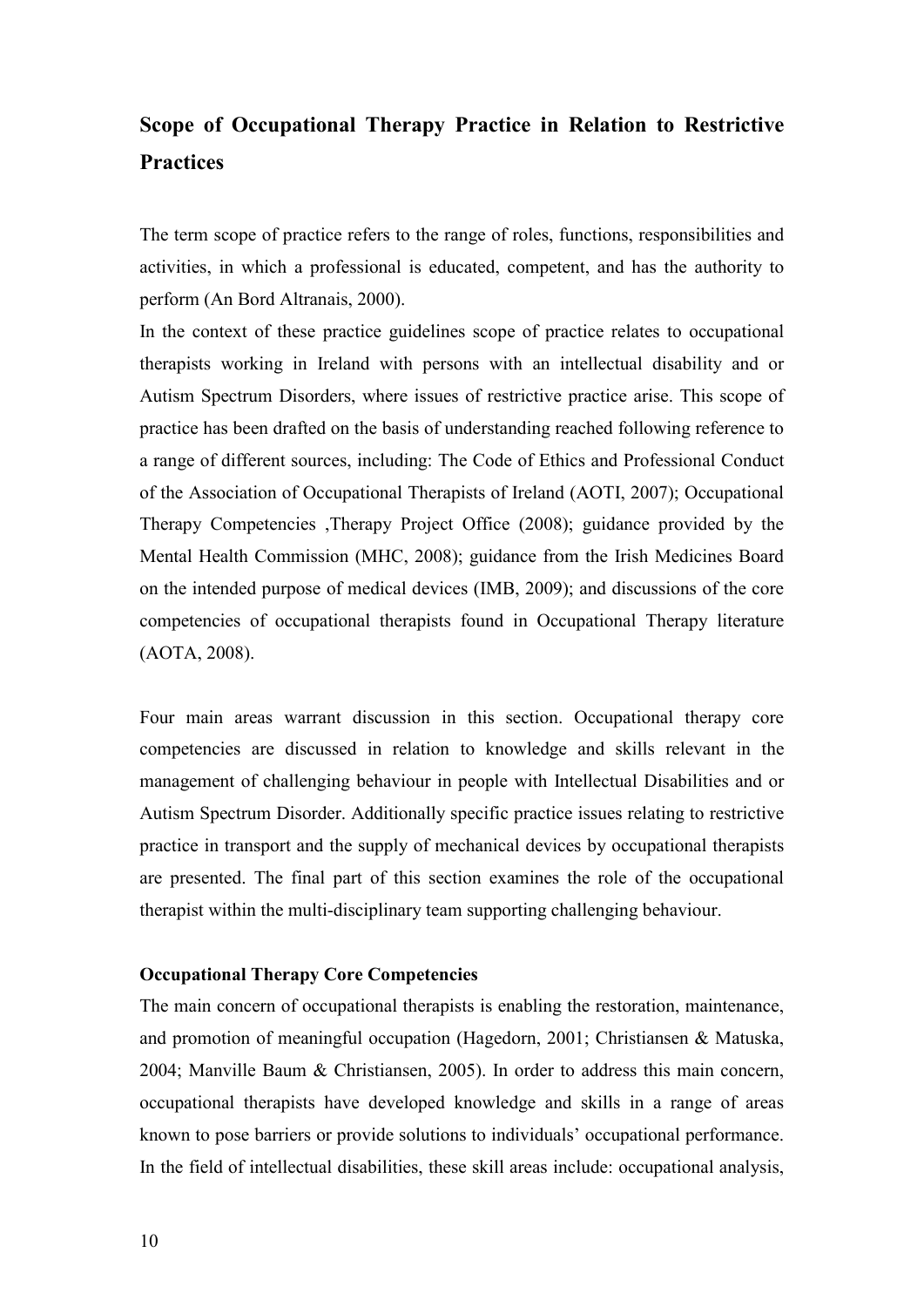# **Scope of Occupational Therapy Practice in Relation to Restrictive Practices**

The term scope of practice refers to the range of roles, functions, responsibilities and activities, in which a professional is educated, competent, and has the authority to perform (An Bord Altranais, 2000).

In the context of these practice guidelines scope of practice relates to occupational therapists working in Ireland with persons with an intellectual disability and or Autism Spectrum Disorders, where issues of restrictive practice arise. This scope of practice has been drafted on the basis of understanding reached following reference to a range of different sources, including: The Code of Ethics and Professional Conduct of the Association of Occupational Therapists of Ireland (AOTI, 2007); Occupational Therapy Competencies ,Therapy Project Office (2008); guidance provided by the Mental Health Commission (MHC, 2008); guidance from the Irish Medicines Board on the intended purpose of medical devices (IMB, 2009); and discussions of the core competencies of occupational therapists found in Occupational Therapy literature (AOTA, 2008).

Four main areas warrant discussion in this section. Occupational therapy core competencies are discussed in relation to knowledge and skills relevant in the management of challenging behaviour in people with Intellectual Disabilities and or Autism Spectrum Disorder. Additionally specific practice issues relating to restrictive practice in transport and the supply of mechanical devices by occupational therapists are presented. The final part of this section examines the role of the occupational therapist within the multi-disciplinary team supporting challenging behaviour.

#### **Occupational Therapy Core Competencies**

The main concern of occupational therapists is enabling the restoration, maintenance, and promotion of meaningful occupation (Hagedorn, 2001; Christiansen & Matuska, 2004; Manville Baum & Christiansen, 2005). In order to address this main concern, occupational therapists have developed knowledge and skills in a range of areas known to pose barriers or provide solutions to individuals' occupational performance. In the field of intellectual disabilities, these skill areas include: occupational analysis,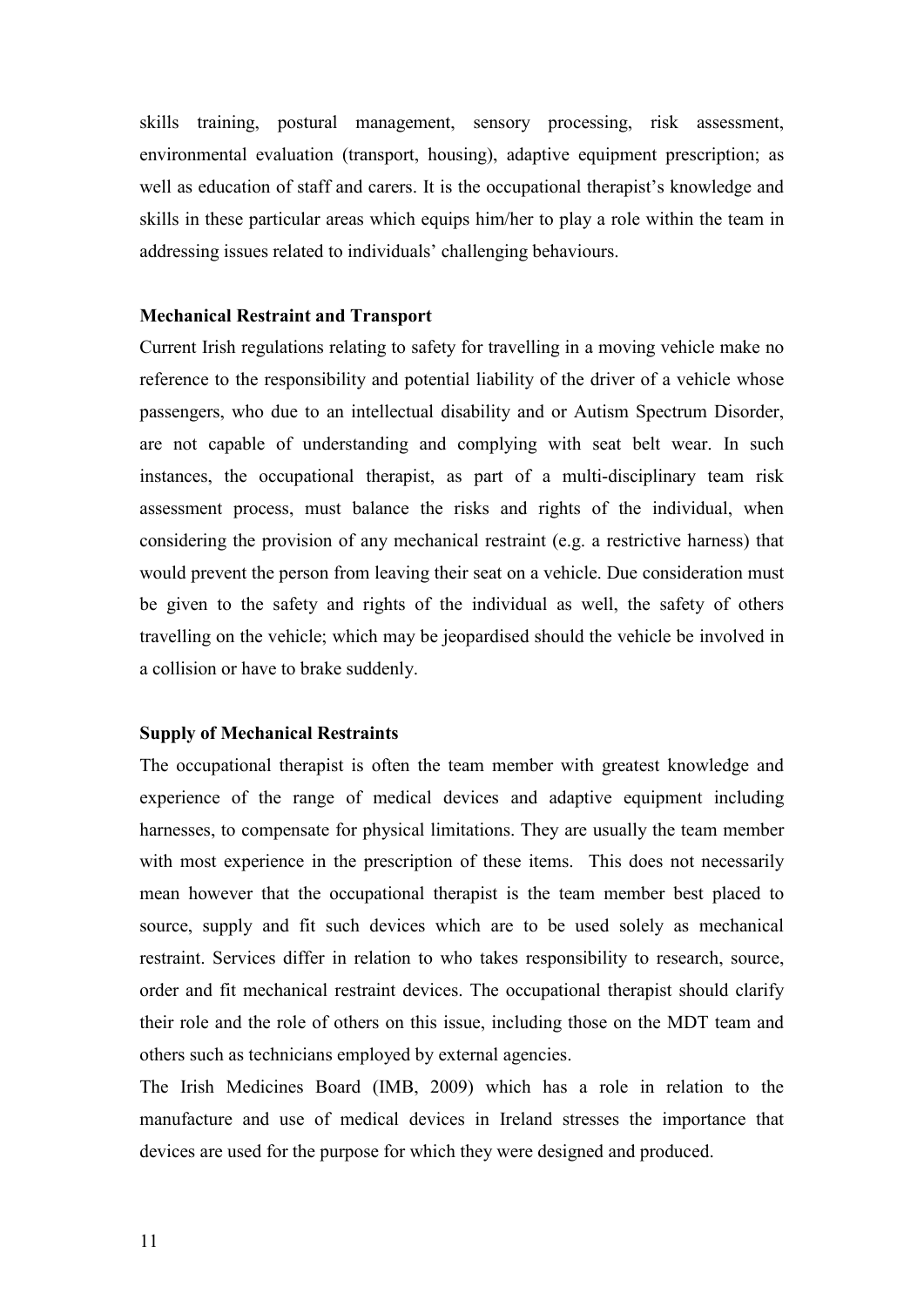skills training, postural management, sensory processing, risk assessment, environmental evaluation (transport, housing), adaptive equipment prescription; as well as education of staff and carers. It is the occupational therapist's knowledge and skills in these particular areas which equips him/her to play a role within the team in addressing issues related to individuals' challenging behaviours.

#### **Mechanical Restraint and Transport**

Current Irish regulations relating to safety for travelling in a moving vehicle make no reference to the responsibility and potential liability of the driver of a vehicle whose passengers, who due to an intellectual disability and or Autism Spectrum Disorder, are not capable of understanding and complying with seat belt wear. In such instances, the occupational therapist, as part of a multi-disciplinary team risk assessment process, must balance the risks and rights of the individual, when considering the provision of any mechanical restraint (e.g. a restrictive harness) that would prevent the person from leaving their seat on a vehicle. Due consideration must be given to the safety and rights of the individual as well, the safety of others travelling on the vehicle; which may be jeopardised should the vehicle be involved in a collision or have to brake suddenly.

#### **Supply of Mechanical Restraints**

The occupational therapist is often the team member with greatest knowledge and experience of the range of medical devices and adaptive equipment including harnesses, to compensate for physical limitations. They are usually the team member with most experience in the prescription of these items. This does not necessarily mean however that the occupational therapist is the team member best placed to source, supply and fit such devices which are to be used solely as mechanical restraint. Services differ in relation to who takes responsibility to research, source, order and fit mechanical restraint devices. The occupational therapist should clarify their role and the role of others on this issue, including those on the MDT team and others such as technicians employed by external agencies.

The Irish Medicines Board (IMB, 2009) which has a role in relation to the manufacture and use of medical devices in Ireland stresses the importance that devices are used for the purpose for which they were designed and produced.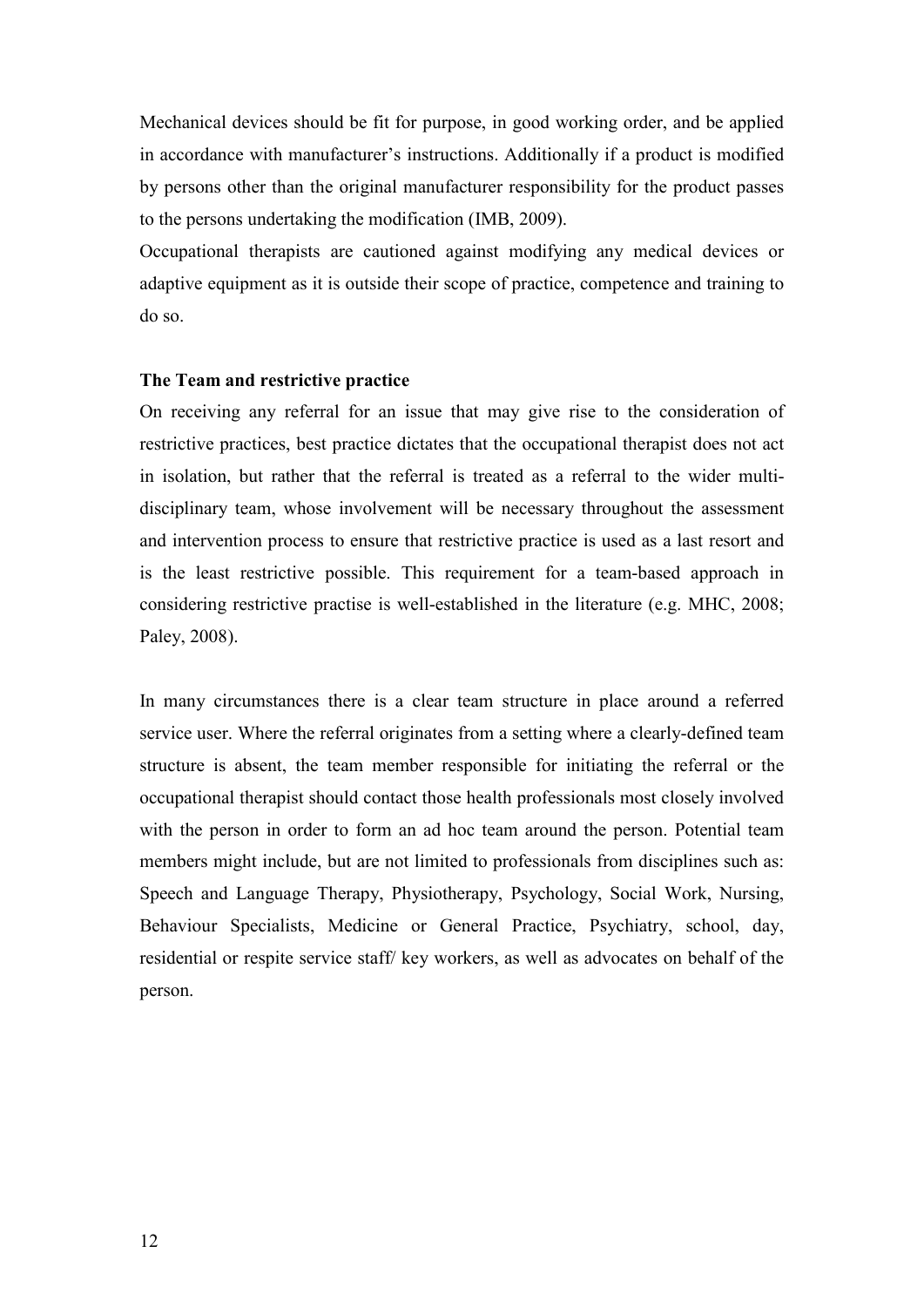Mechanical devices should be fit for purpose, in good working order, and be applied in accordance with manufacturer's instructions. Additionally if a product is modified by persons other than the original manufacturer responsibility for the product passes to the persons undertaking the modification (IMB, 2009).

Occupational therapists are cautioned against modifying any medical devices or adaptive equipment as it is outside their scope of practice, competence and training to do so.

#### **The Team and restrictive practice**

On receiving any referral for an issue that may give rise to the consideration of restrictive practices, best practice dictates that the occupational therapist does not act in isolation, but rather that the referral is treated as a referral to the wider multidisciplinary team, whose involvement will be necessary throughout the assessment and intervention process to ensure that restrictive practice is used as a last resort and is the least restrictive possible. This requirement for a team-based approach in considering restrictive practise is well-established in the literature (e.g. MHC, 2008; Paley, 2008).

In many circumstances there is a clear team structure in place around a referred service user. Where the referral originates from a setting where a clearly-defined team structure is absent, the team member responsible for initiating the referral or the occupational therapist should contact those health professionals most closely involved with the person in order to form an ad hoc team around the person. Potential team members might include, but are not limited to professionals from disciplines such as: Speech and Language Therapy, Physiotherapy, Psychology, Social Work, Nursing, Behaviour Specialists, Medicine or General Practice, Psychiatry, school, day, residential or respite service staff/ key workers, as well as advocates on behalf of the person.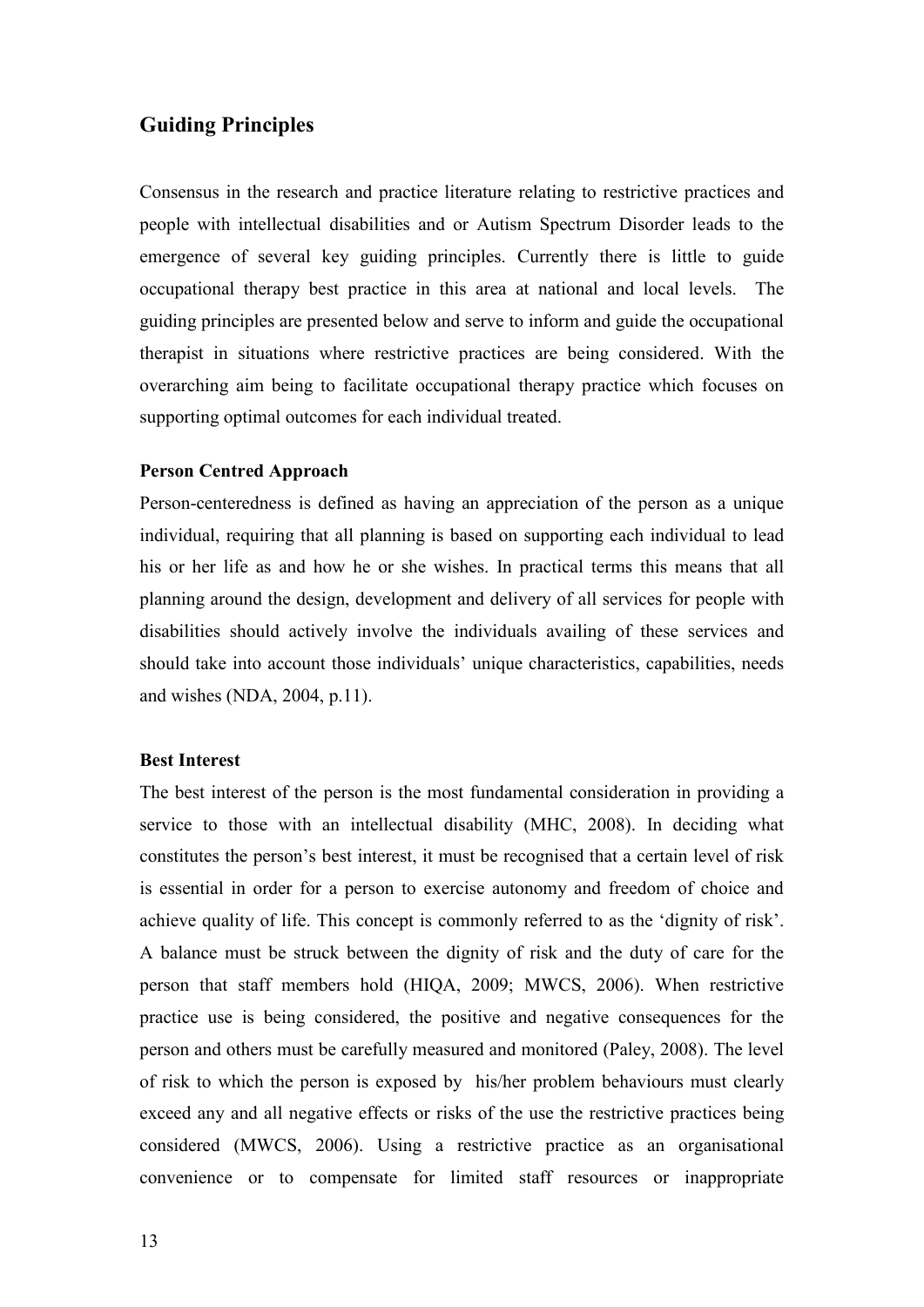### **Guiding Principles**

Consensus in the research and practice literature relating to restrictive practices and people with intellectual disabilities and or Autism Spectrum Disorder leads to the emergence of several key guiding principles. Currently there is little to guide occupational therapy best practice in this area at national and local levels. The guiding principles are presented below and serve to inform and guide the occupational therapist in situations where restrictive practices are being considered. With the overarching aim being to facilitate occupational therapy practice which focuses on supporting optimal outcomes for each individual treated.

#### **Person Centred Approach**

Person-centeredness is defined as having an appreciation of the person as a unique individual, requiring that all planning is based on supporting each individual to lead his or her life as and how he or she wishes. In practical terms this means that all planning around the design, development and delivery of all services for people with disabilities should actively involve the individuals availing of these services and should take into account those individuals' unique characteristics, capabilities, needs and wishes (NDA, 2004, p.11).

#### **Best Interest**

The best interest of the person is the most fundamental consideration in providing a service to those with an intellectual disability (MHC, 2008). In deciding what constitutes the person's best interest, it must be recognised that a certain level of risk is essential in order for a person to exercise autonomy and freedom of choice and achieve quality of life. This concept is commonly referred to as the 'dignity of risk'. A balance must be struck between the dignity of risk and the duty of care for the person that staff members hold (HIQA, 2009; MWCS, 2006). When restrictive practice use is being considered, the positive and negative consequences for the person and others must be carefully measured and monitored (Paley, 2008). The level of risk to which the person is exposed by his/her problem behaviours must clearly exceed any and all negative effects or risks of the use the restrictive practices being considered (MWCS, 2006). Using a restrictive practice as an organisational convenience or to compensate for limited staff resources or inappropriate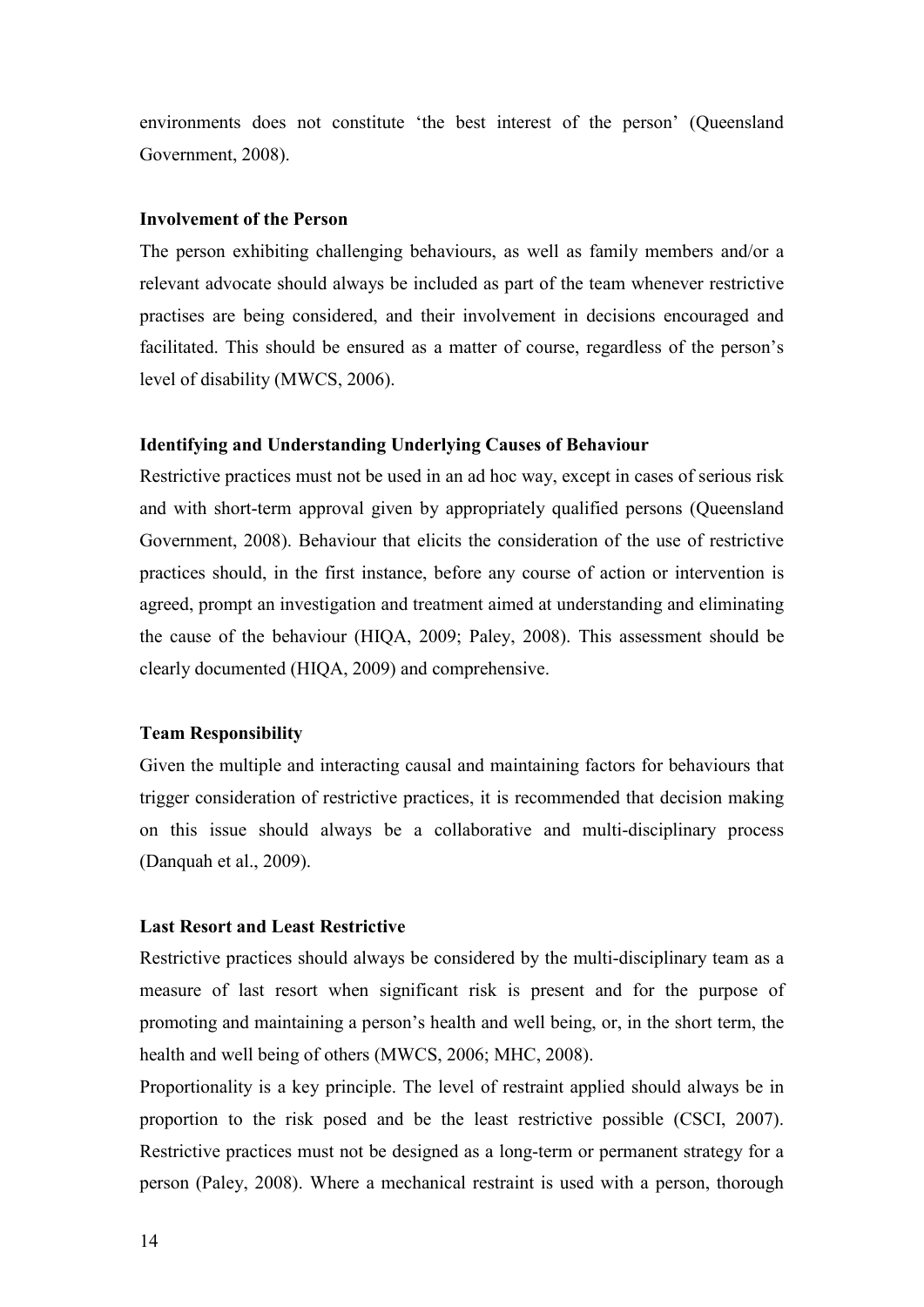environments does not constitute 'the best interest of the person' (Queensland Government, 2008).

#### **Involvement of the Person**

The person exhibiting challenging behaviours, as well as family members and/or a relevant advocate should always be included as part of the team whenever restrictive practises are being considered, and their involvement in decisions encouraged and facilitated. This should be ensured as a matter of course, regardless of the person's level of disability (MWCS, 2006).

#### **Identifying and Understanding Underlying Causes of Behaviour**

Restrictive practices must not be used in an ad hoc way, except in cases of serious risk and with short-term approval given by appropriately qualified persons (Queensland Government, 2008). Behaviour that elicits the consideration of the use of restrictive practices should, in the first instance, before any course of action or intervention is agreed, prompt an investigation and treatment aimed at understanding and eliminating the cause of the behaviour (HIQA, 2009; Paley, 2008). This assessment should be clearly documented (HIQA, 2009) and comprehensive.

#### **Team Responsibility**

Given the multiple and interacting causal and maintaining factors for behaviours that trigger consideration of restrictive practices, it is recommended that decision making on this issue should always be a collaborative and multi-disciplinary process (Danquah et al., 2009).

#### **Last Resort and Least Restrictive**

Restrictive practices should always be considered by the multi-disciplinary team as a measure of last resort when significant risk is present and for the purpose of promoting and maintaining a person's health and well being, or, in the short term, the health and well being of others (MWCS, 2006; MHC, 2008).

Proportionality is a key principle. The level of restraint applied should always be in proportion to the risk posed and be the least restrictive possible (CSCI, 2007). Restrictive practices must not be designed as a long-term or permanent strategy for a person (Paley, 2008). Where a mechanical restraint is used with a person, thorough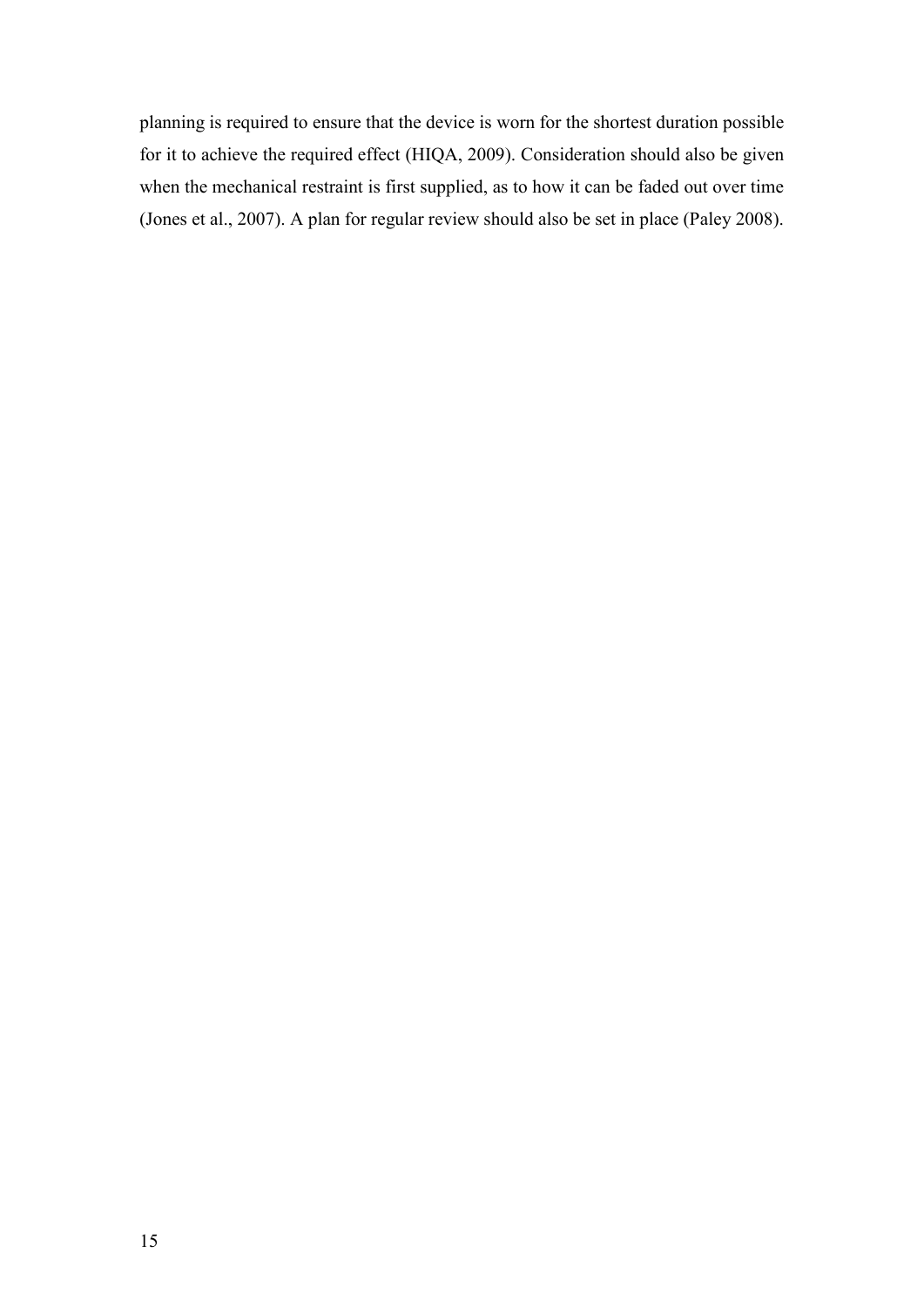planning is required to ensure that the device is worn for the shortest duration possible for it to achieve the required effect (HIQA, 2009). Consideration should also be given when the mechanical restraint is first supplied, as to how it can be faded out over time (Jones et al., 2007). A plan for regular review should also be set in place (Paley 2008).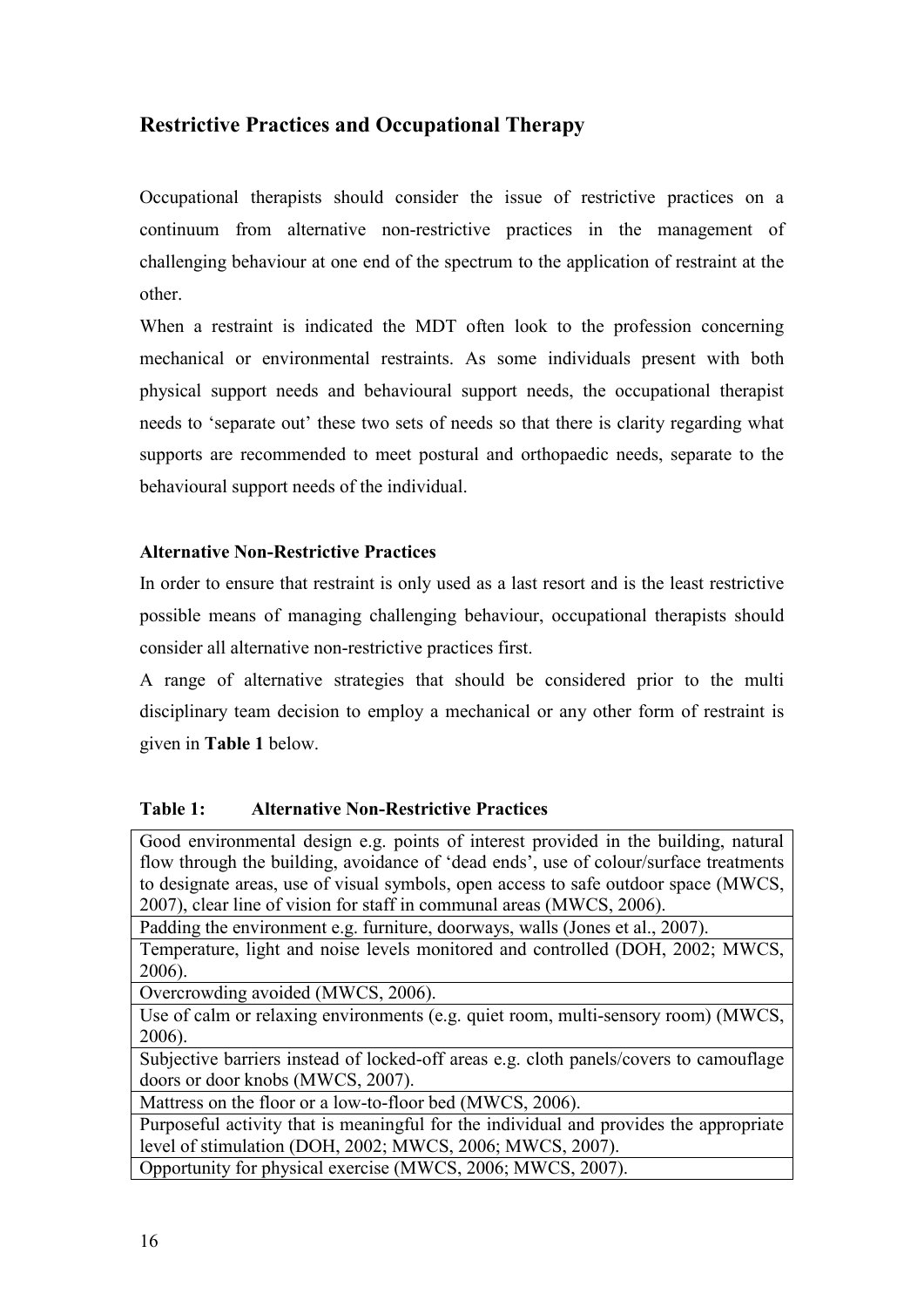### **Restrictive Practices and Occupational Therapy**

Occupational therapists should consider the issue of restrictive practices on a continuum from alternative non-restrictive practices in the management of challenging behaviour at one end of the spectrum to the application of restraint at the other.

When a restraint is indicated the MDT often look to the profession concerning mechanical or environmental restraints. As some individuals present with both physical support needs and behavioural support needs, the occupational therapist needs to 'separate out' these two sets of needs so that there is clarity regarding what supports are recommended to meet postural and orthopaedic needs, separate to the behavioural support needs of the individual.

#### **Alternative Non-Restrictive Practices**

In order to ensure that restraint is only used as a last resort and is the least restrictive possible means of managing challenging behaviour, occupational therapists should consider all alternative non-restrictive practices first.

A range of alternative strategies that should be considered prior to the multi disciplinary team decision to employ a mechanical or any other form of restraint is given in **Table 1** below.

| Table 1: |  | <b>Alternative Non-Restrictive Practices</b> |  |
|----------|--|----------------------------------------------|--|
|----------|--|----------------------------------------------|--|

Good environmental design e.g. points of interest provided in the building, natural flow through the building, avoidance of 'dead ends', use of colour/surface treatments to designate areas, use of visual symbols, open access to safe outdoor space (MWCS, 2007), clear line of vision for staff in communal areas (MWCS, 2006).

Padding the environment e.g. furniture, doorways, walls (Jones et al., 2007).

Temperature, light and noise levels monitored and controlled (DOH, 2002; MWCS, 2006).

Overcrowding avoided (MWCS, 2006).

Use of calm or relaxing environments (e.g. quiet room, multi-sensory room) (MWCS, 2006).

Subjective barriers instead of locked-off areas e.g. cloth panels/covers to camouflage doors or door knobs (MWCS, 2007).

Mattress on the floor or a low-to-floor bed (MWCS, 2006).

Purposeful activity that is meaningful for the individual and provides the appropriate level of stimulation (DOH, 2002; MWCS, 2006; MWCS, 2007).

Opportunity for physical exercise (MWCS, 2006; MWCS, 2007).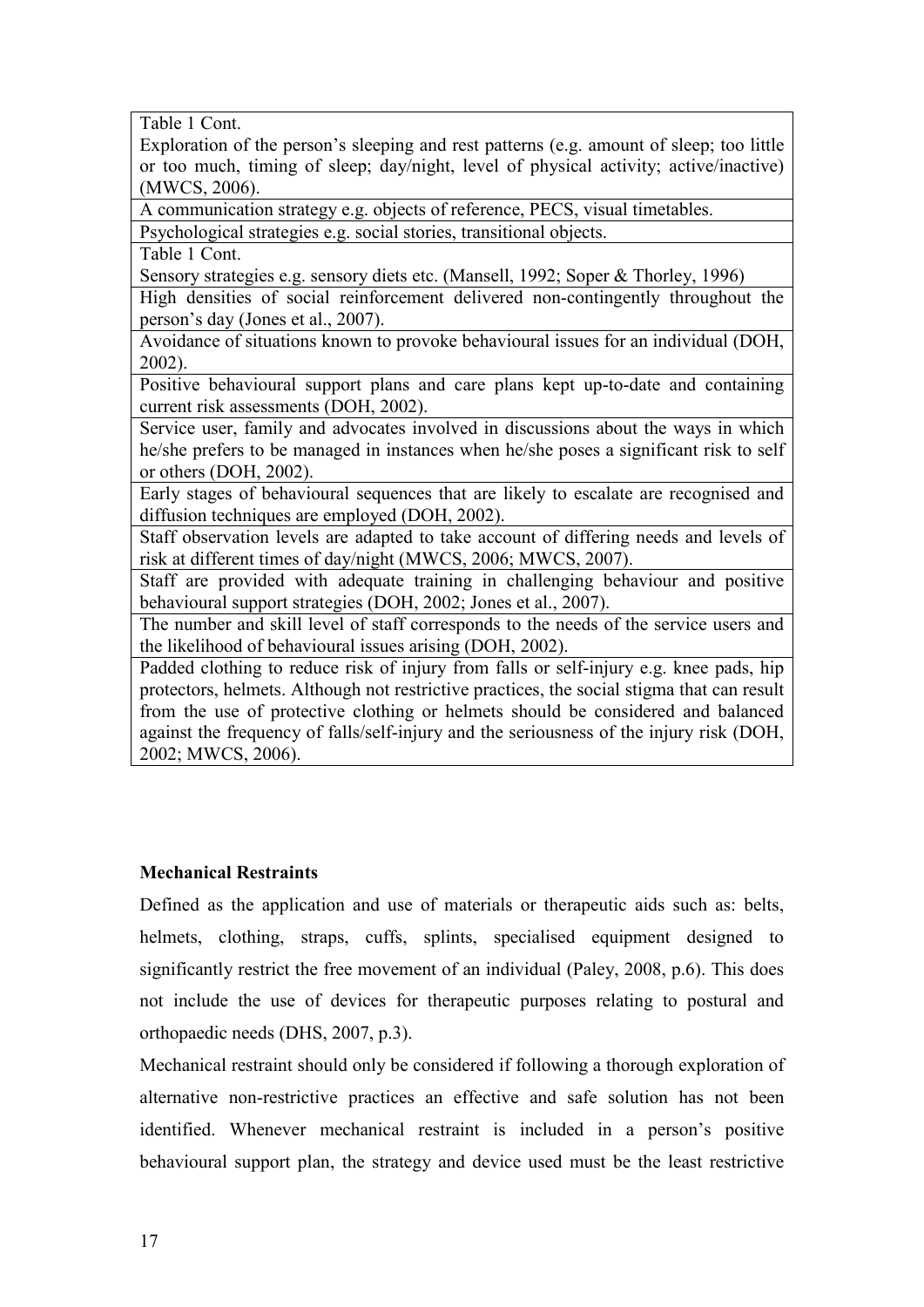Table 1 Cont.

Exploration of the person's sleeping and rest patterns (e.g. amount of sleep; too little or too much, timing of sleep; day/night, level of physical activity; active/inactive) (MWCS, 2006).

A communication strategy e.g. objects of reference, PECS, visual timetables.

Psychological strategies e.g. social stories, transitional objects.

Table 1 Cont.

Sensory strategies e.g. sensory diets etc. (Mansell, 1992; Soper & Thorley, 1996)

High densities of social reinforcement delivered non-contingently throughout the person's day (Jones et al., 2007).

Avoidance of situations known to provoke behavioural issues for an individual (DOH, 2002).

Positive behavioural support plans and care plans kept up-to-date and containing current risk assessments (DOH, 2002).

Service user, family and advocates involved in discussions about the ways in which he/she prefers to be managed in instances when he/she poses a significant risk to self or others (DOH, 2002).

Early stages of behavioural sequences that are likely to escalate are recognised and diffusion techniques are employed (DOH, 2002).

Staff observation levels are adapted to take account of differing needs and levels of risk at different times of day/night (MWCS, 2006; MWCS, 2007).

Staff are provided with adequate training in challenging behaviour and positive behavioural support strategies (DOH, 2002; Jones et al., 2007).

The number and skill level of staff corresponds to the needs of the service users and the likelihood of behavioural issues arising (DOH, 2002).

Padded clothing to reduce risk of injury from falls or self-injury e.g. knee pads, hip protectors, helmets. Although not restrictive practices, the social stigma that can result from the use of protective clothing or helmets should be considered and balanced against the frequency of falls/self-injury and the seriousness of the injury risk (DOH, 2002; MWCS, 2006).

#### **Mechanical Restraints**

Defined as the application and use of materials or therapeutic aids such as: belts, helmets, clothing, straps, cuffs, splints, specialised equipment designed to significantly restrict the free movement of an individual (Paley, 2008, p.6). This does not include the use of devices for therapeutic purposes relating to postural and orthopaedic needs (DHS, 2007, p.3).

Mechanical restraint should only be considered if following a thorough exploration of alternative non-restrictive practices an effective and safe solution has not been identified. Whenever mechanical restraint is included in a person's positive behavioural support plan, the strategy and device used must be the least restrictive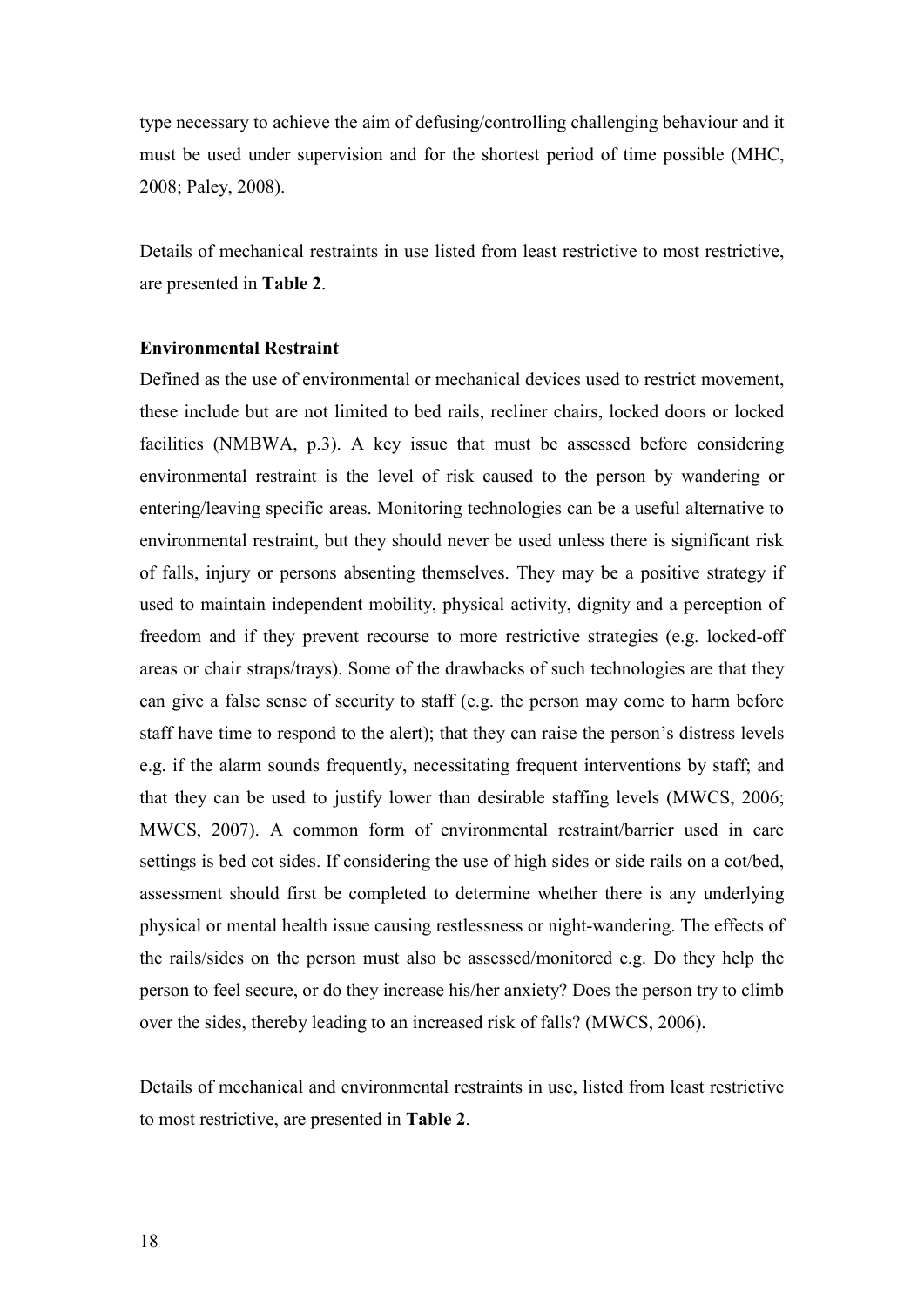type necessary to achieve the aim of defusing/controlling challenging behaviour and it must be used under supervision and for the shortest period of time possible (MHC, 2008; Paley, 2008).

Details of mechanical restraints in use listed from least restrictive to most restrictive, are presented in **Table 2**.

#### **Environmental Restraint**

Defined as the use of environmental or mechanical devices used to restrict movement, these include but are not limited to bed rails, recliner chairs, locked doors or locked facilities (NMBWA, p.3). A key issue that must be assessed before considering environmental restraint is the level of risk caused to the person by wandering or entering/leaving specific areas. Monitoring technologies can be a useful alternative to environmental restraint, but they should never be used unless there is significant risk of falls, injury or persons absenting themselves. They may be a positive strategy if used to maintain independent mobility, physical activity, dignity and a perception of freedom and if they prevent recourse to more restrictive strategies (e.g. locked-off areas or chair straps/trays). Some of the drawbacks of such technologies are that they can give a false sense of security to staff (e.g. the person may come to harm before staff have time to respond to the alert); that they can raise the person's distress levels e.g. if the alarm sounds frequently, necessitating frequent interventions by staff; and that they can be used to justify lower than desirable staffing levels (MWCS, 2006; MWCS, 2007). A common form of environmental restraint/barrier used in care settings is bed cot sides. If considering the use of high sides or side rails on a cot/bed, assessment should first be completed to determine whether there is any underlying physical or mental health issue causing restlessness or night-wandering. The effects of the rails/sides on the person must also be assessed/monitored e.g. Do they help the person to feel secure, or do they increase his/her anxiety? Does the person try to climb over the sides, thereby leading to an increased risk of falls? (MWCS, 2006).

Details of mechanical and environmental restraints in use, listed from least restrictive to most restrictive, are presented in **Table 2**.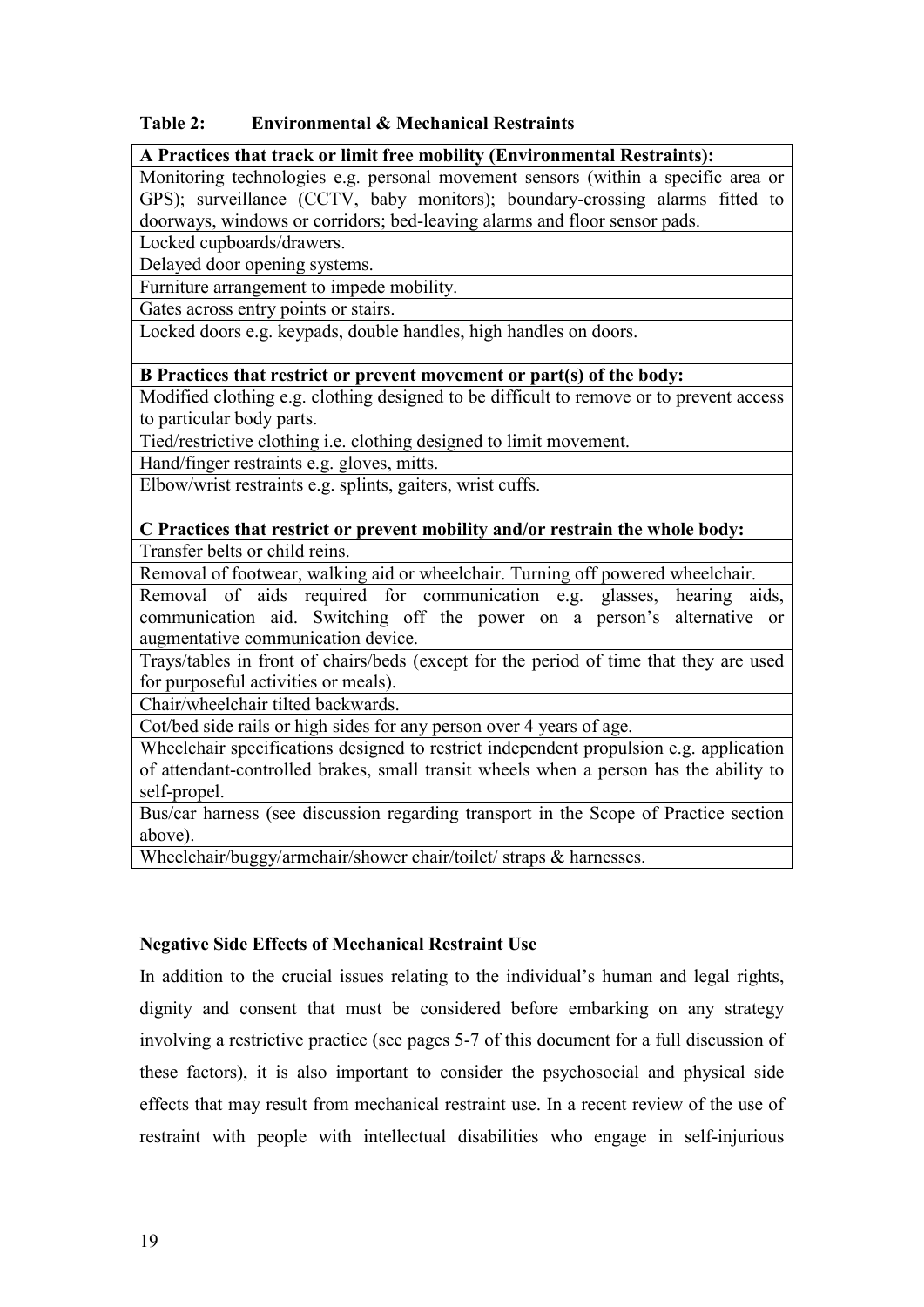#### **Table 2: Environmental & Mechanical Restraints**

#### **A Practices that track or limit free mobility (Environmental Restraints):**

Monitoring technologies e.g. personal movement sensors (within a specific area or GPS); surveillance (CCTV, baby monitors); boundary-crossing alarms fitted to doorways, windows or corridors; bed-leaving alarms and floor sensor pads.

Locked cupboards/drawers.

Delayed door opening systems.

Furniture arrangement to impede mobility.

Gates across entry points or stairs.

Locked doors e.g. keypads, double handles, high handles on doors.

#### **B Practices that restrict or prevent movement or part(s) of the body:**

Modified clothing e.g. clothing designed to be difficult to remove or to prevent access to particular body parts.

Tied/restrictive clothing i.e. clothing designed to limit movement.

Hand/finger restraints e.g. gloves, mitts.

Elbow/wrist restraints e.g. splints, gaiters, wrist cuffs.

#### **C Practices that restrict or prevent mobility and/or restrain the whole body:**  Transfer belts or child reins.

Removal of footwear, walking aid or wheelchair. Turning off powered wheelchair. Removal of aids required for communication e.g. glasses, hearing aids, communication aid. Switching off the power on a person's alternative or augmentative communication device.

Trays/tables in front of chairs/beds (except for the period of time that they are used for purposeful activities or meals).

Chair/wheelchair tilted backwards.

Cot/bed side rails or high sides for any person over 4 years of age.

Wheelchair specifications designed to restrict independent propulsion e.g. application of attendant-controlled brakes, small transit wheels when a person has the ability to self-propel.

Bus/car harness (see discussion regarding transport in the Scope of Practice section above).

Wheelchair/buggy/armchair/shower chair/toilet/ straps & harnesses.

#### **Negative Side Effects of Mechanical Restraint Use**

In addition to the crucial issues relating to the individual's human and legal rights, dignity and consent that must be considered before embarking on any strategy involving a restrictive practice (see pages 5-7 of this document for a full discussion of these factors), it is also important to consider the psychosocial and physical side effects that may result from mechanical restraint use. In a recent review of the use of restraint with people with intellectual disabilities who engage in self-injurious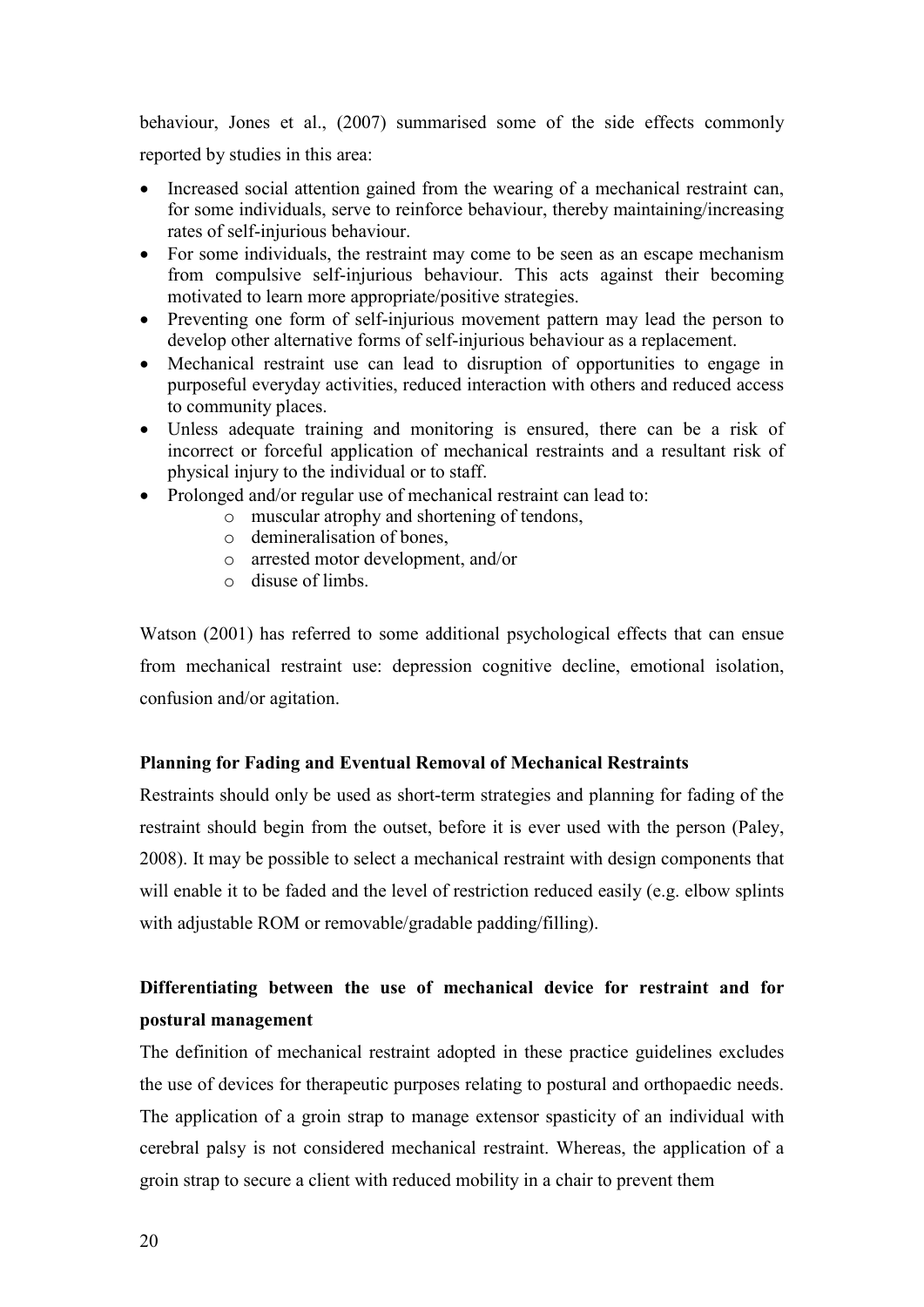behaviour, Jones et al., (2007) summarised some of the side effects commonly reported by studies in this area:

- Increased social attention gained from the wearing of a mechanical restraint can, for some individuals, serve to reinforce behaviour, thereby maintaining/increasing rates of self-injurious behaviour.
- For some individuals, the restraint may come to be seen as an escape mechanism from compulsive self-injurious behaviour. This acts against their becoming motivated to learn more appropriate/positive strategies.
- Preventing one form of self-injurious movement pattern may lead the person to develop other alternative forms of self-injurious behaviour as a replacement.
- Mechanical restraint use can lead to disruption of opportunities to engage in purposeful everyday activities, reduced interaction with others and reduced access to community places.
- Unless adequate training and monitoring is ensured, there can be a risk of incorrect or forceful application of mechanical restraints and a resultant risk of physical injury to the individual or to staff.
- Prolonged and/or regular use of mechanical restraint can lead to:
	- o muscular atrophy and shortening of tendons,
	- o demineralisation of bones,
	- o arrested motor development, and/or
	- o disuse of limbs.

Watson (2001) has referred to some additional psychological effects that can ensue from mechanical restraint use: depression cognitive decline, emotional isolation, confusion and/or agitation.

#### **Planning for Fading and Eventual Removal of Mechanical Restraints**

Restraints should only be used as short-term strategies and planning for fading of the restraint should begin from the outset, before it is ever used with the person (Paley, 2008). It may be possible to select a mechanical restraint with design components that will enable it to be faded and the level of restriction reduced easily (e.g. elbow splints with adjustable ROM or removable/gradable padding/filling).

# **Differentiating between the use of mechanical device for restraint and for postural management**

The definition of mechanical restraint adopted in these practice guidelines excludes the use of devices for therapeutic purposes relating to postural and orthopaedic needs. The application of a groin strap to manage extensor spasticity of an individual with cerebral palsy is not considered mechanical restraint. Whereas, the application of a groin strap to secure a client with reduced mobility in a chair to prevent them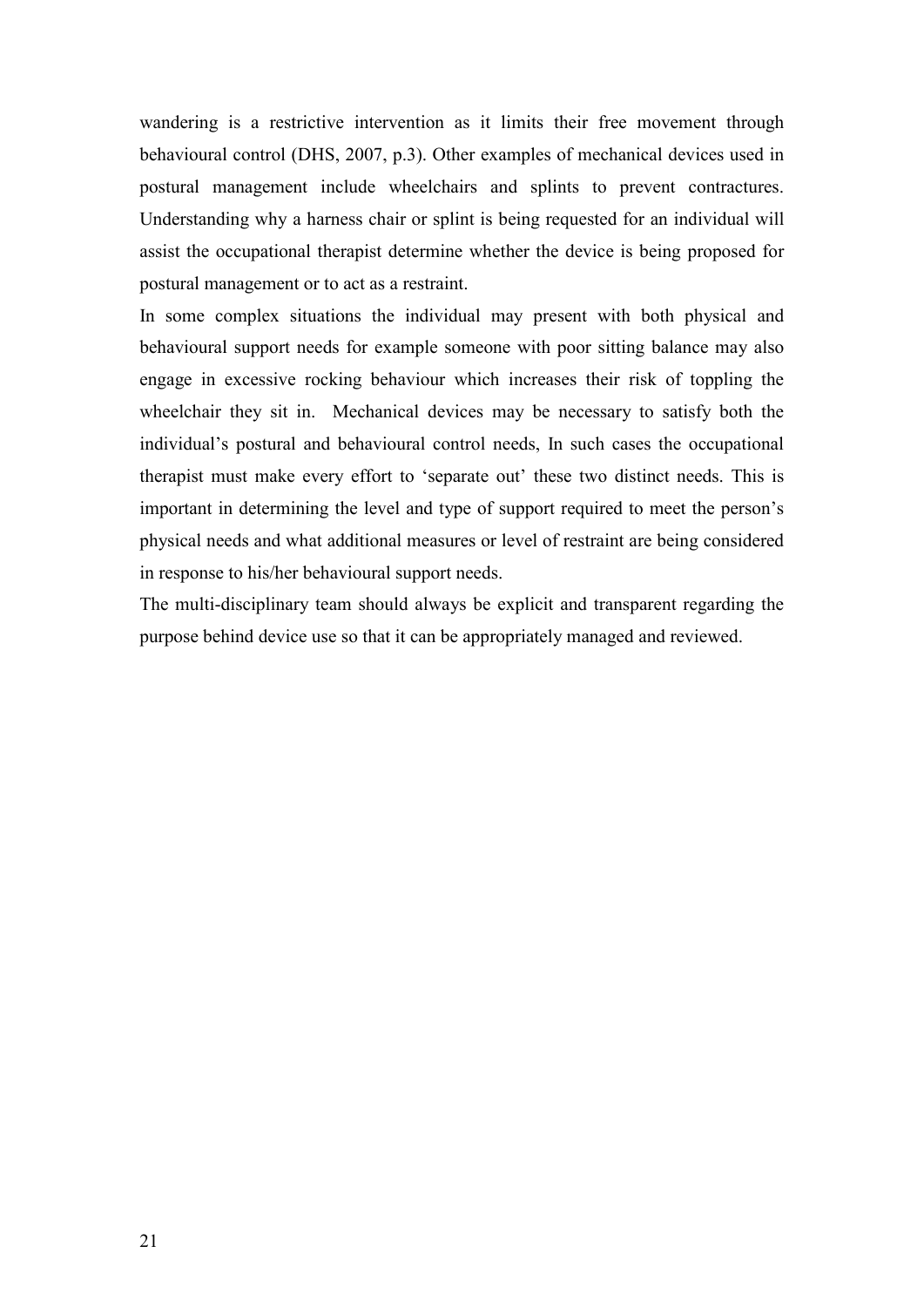wandering is a restrictive intervention as it limits their free movement through behavioural control (DHS, 2007, p.3). Other examples of mechanical devices used in postural management include wheelchairs and splints to prevent contractures. Understanding why a harness chair or splint is being requested for an individual will assist the occupational therapist determine whether the device is being proposed for postural management or to act as a restraint.

In some complex situations the individual may present with both physical and behavioural support needs for example someone with poor sitting balance may also engage in excessive rocking behaviour which increases their risk of toppling the wheelchair they sit in. Mechanical devices may be necessary to satisfy both the individual's postural and behavioural control needs, In such cases the occupational therapist must make every effort to 'separate out' these two distinct needs. This is important in determining the level and type of support required to meet the person's physical needs and what additional measures or level of restraint are being considered in response to his/her behavioural support needs.

The multi-disciplinary team should always be explicit and transparent regarding the purpose behind device use so that it can be appropriately managed and reviewed.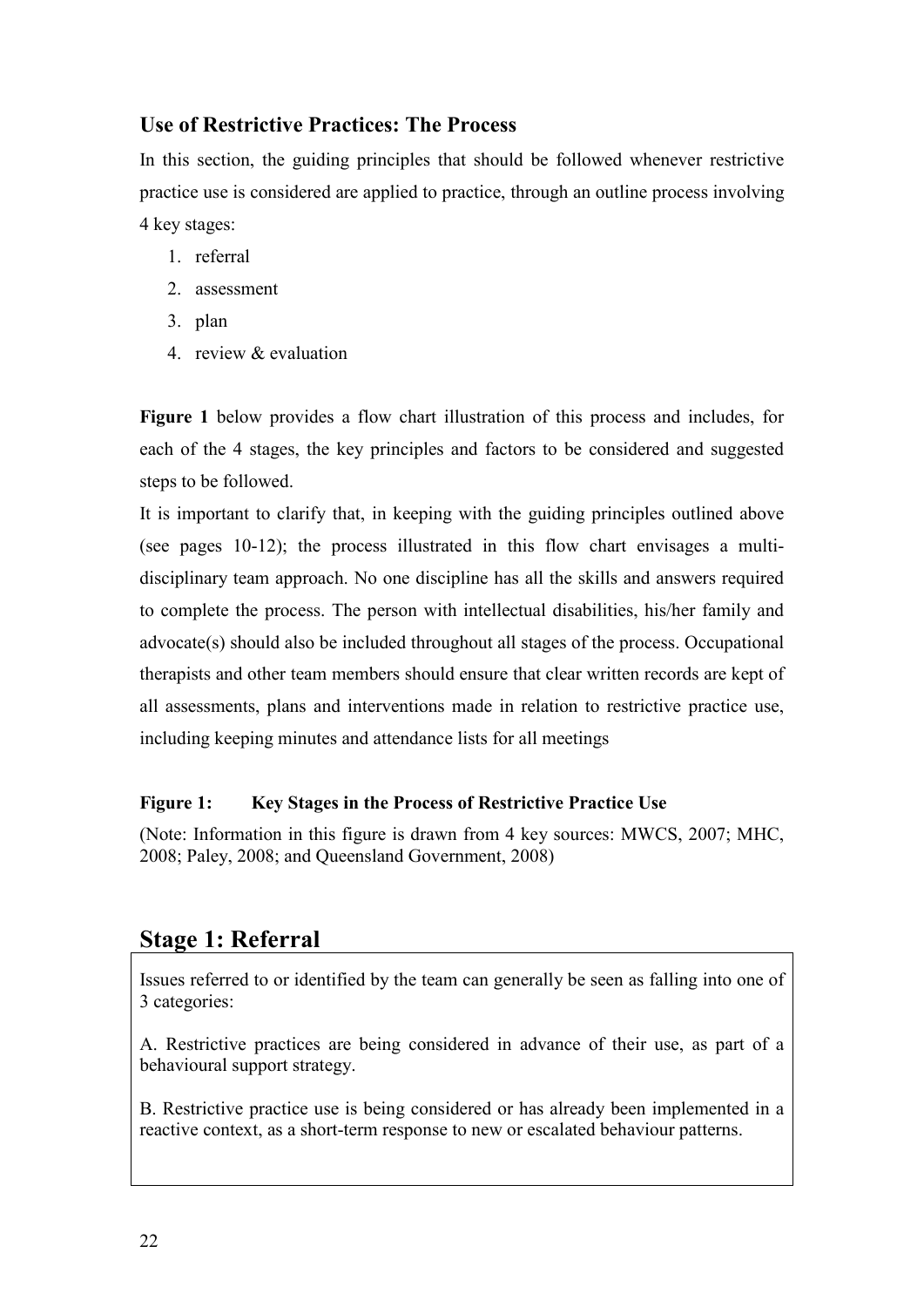### **Use of Restrictive Practices: The Process**

In this section, the guiding principles that should be followed whenever restrictive practice use is considered are applied to practice, through an outline process involving 4 key stages:

- 1. referral
- 2. assessment
- 3. plan
- 4. review & evaluation

**Figure 1** below provides a flow chart illustration of this process and includes, for each of the 4 stages, the key principles and factors to be considered and suggested steps to be followed.

It is important to clarify that, in keeping with the guiding principles outlined above (see pages 10-12); the process illustrated in this flow chart envisages a multidisciplinary team approach. No one discipline has all the skills and answers required to complete the process. The person with intellectual disabilities, his/her family and advocate(s) should also be included throughout all stages of the process. Occupational therapists and other team members should ensure that clear written records are kept of all assessments, plans and interventions made in relation to restrictive practice use, including keeping minutes and attendance lists for all meetings

### **Figure 1: Key Stages in the Process of Restrictive Practice Use**

(Note: Information in this figure is drawn from 4 key sources: MWCS, 2007; MHC, 2008; Paley, 2008; and Queensland Government, 2008)

# **Stage 1: Referral**

Issues referred to or identified by the team can generally be seen as falling into one of 3 categories:

A. Restrictive practices are being considered in advance of their use, as part of a behavioural support strategy.

B. Restrictive practice use is being considered or has already been implemented in a reactive context, as a short-term response to new or escalated behaviour patterns.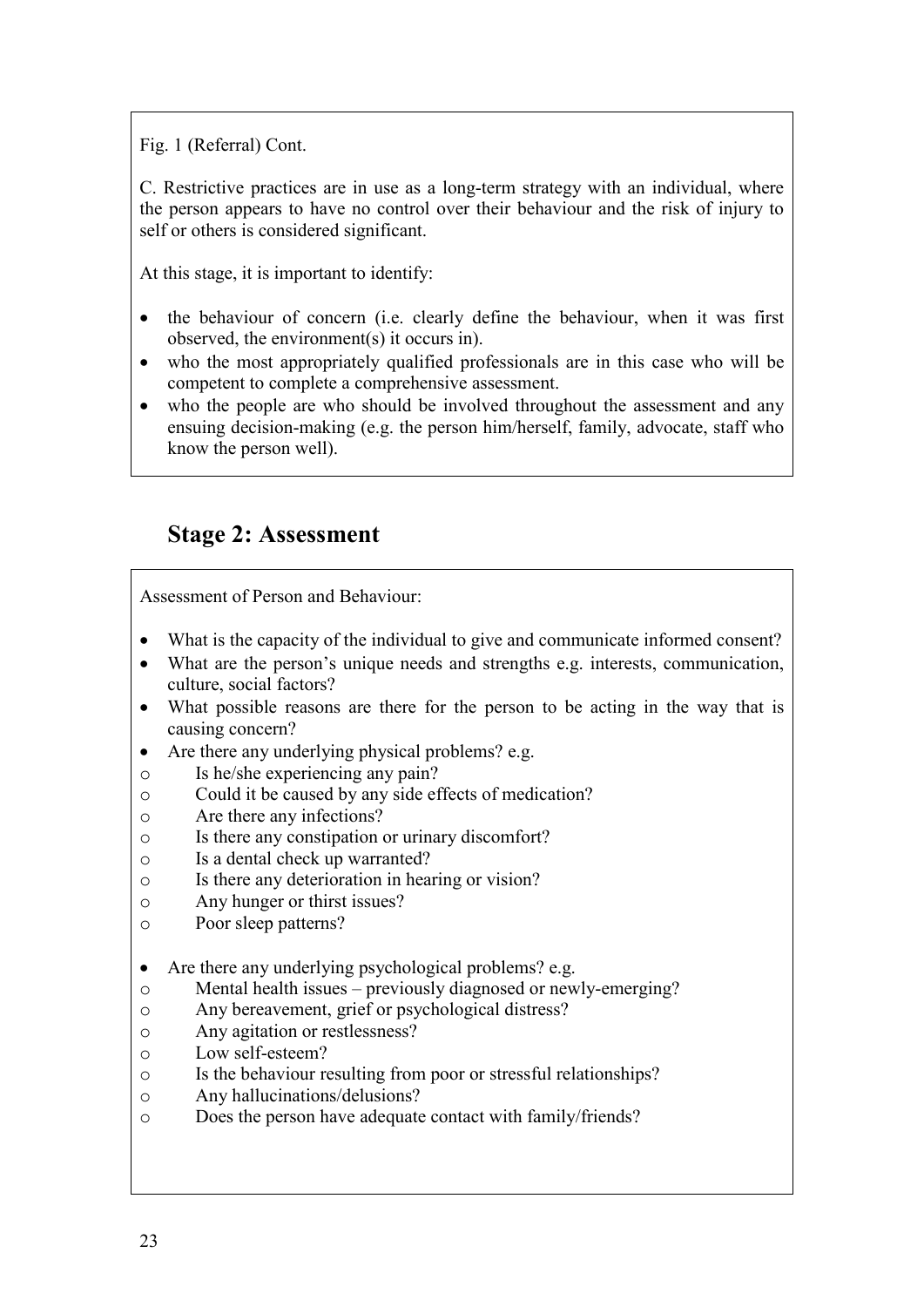Fig. 1 (Referral) Cont.

C. Restrictive practices are in use as a long-term strategy with an individual, where the person appears to have no control over their behaviour and the risk of injury to self or others is considered significant.

At this stage, it is important to identify:

- the behaviour of concern (i.e. clearly define the behaviour, when it was first observed, the environment(s) it occurs in).
- who the most appropriately qualified professionals are in this case who will be competent to complete a comprehensive assessment.
- who the people are who should be involved throughout the assessment and any ensuing decision-making (e.g. the person him/herself, family, advocate, staff who know the person well).

# **Stage 2: Assessment**

Assessment of Person and Behaviour:

- What is the capacity of the individual to give and communicate informed consent?
- What are the person's unique needs and strengths e.g. interests, communication, culture, social factors?
- What possible reasons are there for the person to be acting in the way that is causing concern?
- Are there any underlying physical problems? e.g.
- o Is he/she experiencing any pain?
- o Could it be caused by any side effects of medication?
- o Are there any infections?
- o Is there any constipation or urinary discomfort?
- o Is a dental check up warranted?
- o Is there any deterioration in hearing or vision?
- o Any hunger or thirst issues?
- o Poor sleep patterns?
- Are there any underlying psychological problems? e.g.
- o Mental health issues previously diagnosed or newly-emerging?
- o Any bereavement, grief or psychological distress?
- o Any agitation or restlessness?
- o Low self-esteem?
- o Is the behaviour resulting from poor or stressful relationships?
- o Any hallucinations/delusions?
- o Does the person have adequate contact with family/friends?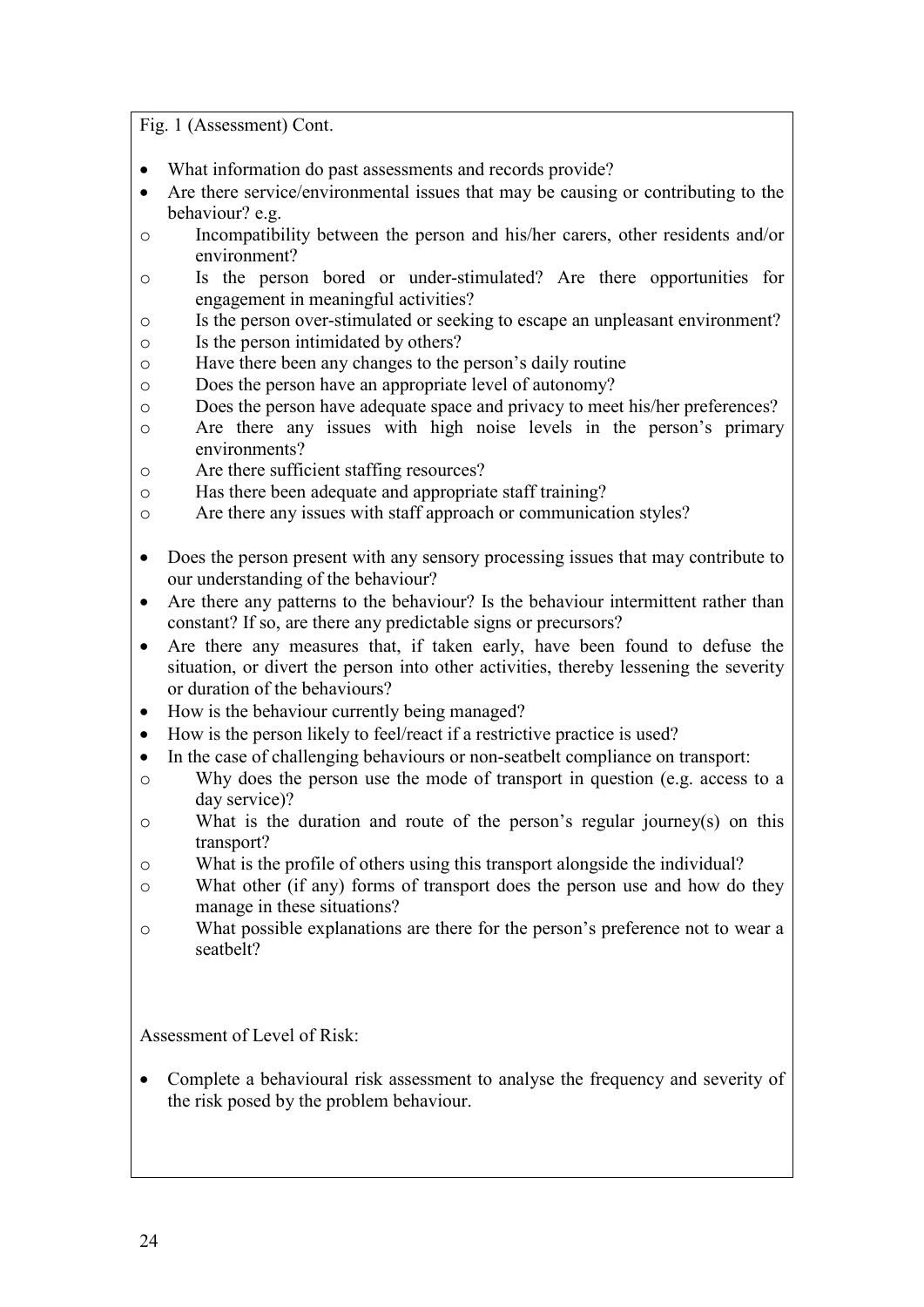Fig. 1 (Assessment) Cont.

- What information do past assessments and records provide?
- Are there service/environmental issues that may be causing or contributing to the behaviour? e.g.
- o Incompatibility between the person and his/her carers, other residents and/or environment?
- o Is the person bored or under-stimulated? Are there opportunities for engagement in meaningful activities?
- o Is the person over-stimulated or seeking to escape an unpleasant environment?
- o Is the person intimidated by others?
- o Have there been any changes to the person's daily routine
- o Does the person have an appropriate level of autonomy?
- o Does the person have adequate space and privacy to meet his/her preferences?
- o Are there any issues with high noise levels in the person's primary environments?
- o Are there sufficient staffing resources?
- o Has there been adequate and appropriate staff training?
- o Are there any issues with staff approach or communication styles?
- Does the person present with any sensory processing issues that may contribute to our understanding of the behaviour?
- Are there any patterns to the behaviour? Is the behaviour intermittent rather than constant? If so, are there any predictable signs or precursors?
- Are there any measures that, if taken early, have been found to defuse the situation, or divert the person into other activities, thereby lessening the severity or duration of the behaviours?
- How is the behaviour currently being managed?
- How is the person likely to feel/react if a restrictive practice is used?
- In the case of challenging behaviours or non-seatbelt compliance on transport:
- o Why does the person use the mode of transport in question (e.g. access to a day service)?
- o What is the duration and route of the person's regular journey(s) on this transport?
- o What is the profile of others using this transport alongside the individual?
- o What other (if any) forms of transport does the person use and how do they manage in these situations?
- o What possible explanations are there for the person's preference not to wear a seatbelt?

Assessment of Level of Risk:

• Complete a behavioural risk assessment to analyse the frequency and severity of the risk posed by the problem behaviour.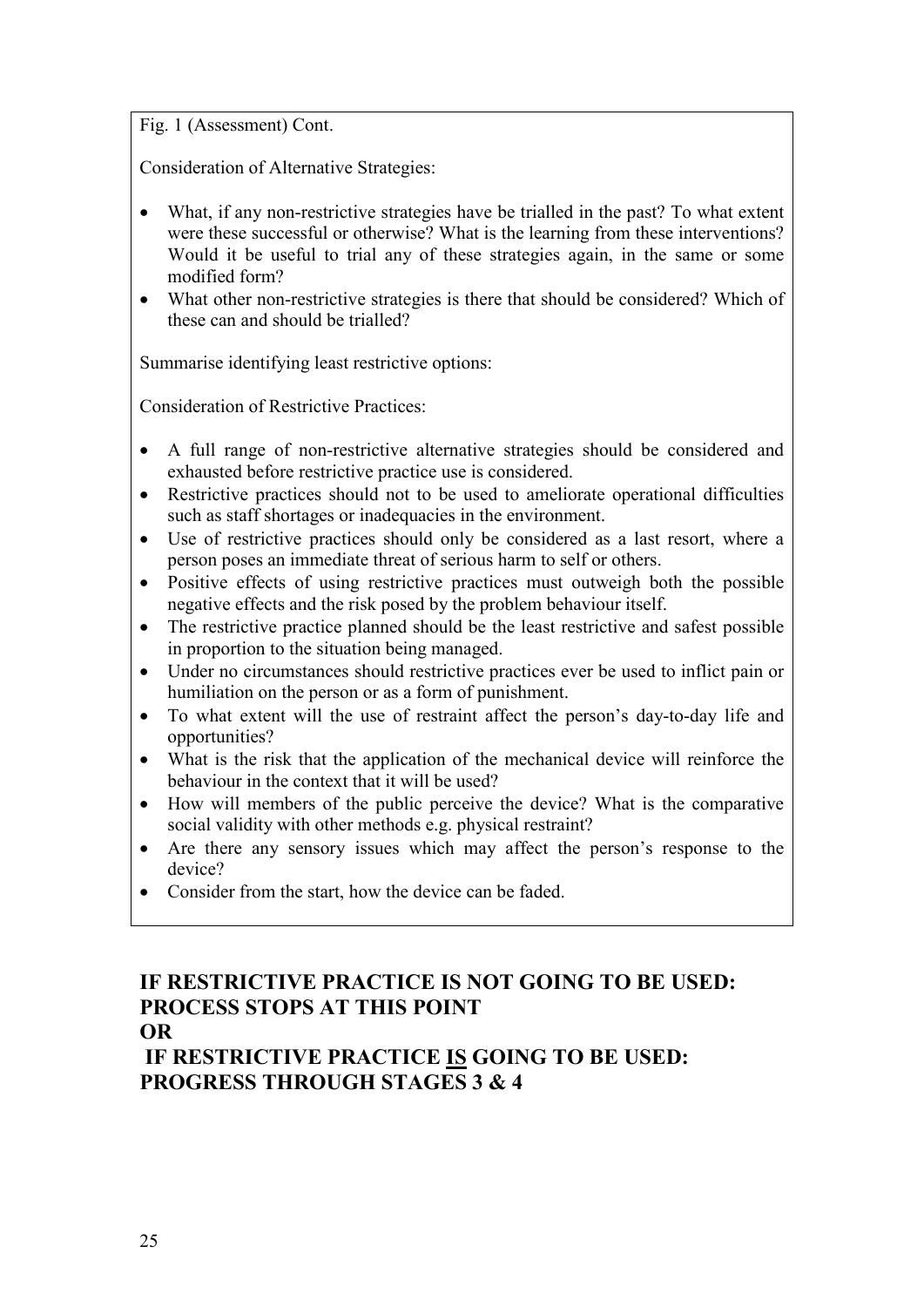Fig. 1 (Assessment) Cont.

Consideration of Alternative Strategies:

- What, if any non-restrictive strategies have be trialled in the past? To what extent were these successful or otherwise? What is the learning from these interventions? Would it be useful to trial any of these strategies again, in the same or some modified form?
- What other non-restrictive strategies is there that should be considered? Which of these can and should be trialled?

Summarise identifying least restrictive options:

Consideration of Restrictive Practices:

- A full range of non-restrictive alternative strategies should be considered and exhausted before restrictive practice use is considered.
- Restrictive practices should not to be used to ameliorate operational difficulties such as staff shortages or inadequacies in the environment.
- Use of restrictive practices should only be considered as a last resort, where a person poses an immediate threat of serious harm to self or others.
- Positive effects of using restrictive practices must outweigh both the possible negative effects and the risk posed by the problem behaviour itself.
- The restrictive practice planned should be the least restrictive and safest possible in proportion to the situation being managed.
- Under no circumstances should restrictive practices ever be used to inflict pain or humiliation on the person or as a form of punishment.
- To what extent will the use of restraint affect the person's day-to-day life and opportunities?
- What is the risk that the application of the mechanical device will reinforce the behaviour in the context that it will be used?
- How will members of the public perceive the device? What is the comparative social validity with other methods e.g. physical restraint?
- Are there any sensory issues which may affect the person's response to the device?
- Consider from the start, how the device can be faded.

### **IF RESTRICTIVE PRACTICE IS NOT GOING TO BE USED: PROCESS STOPS AT THIS POINT OR**

 **IF RESTRICTIVE PRACTICE IS GOING TO BE USED: PROGRESS THROUGH STAGES 3 & 4**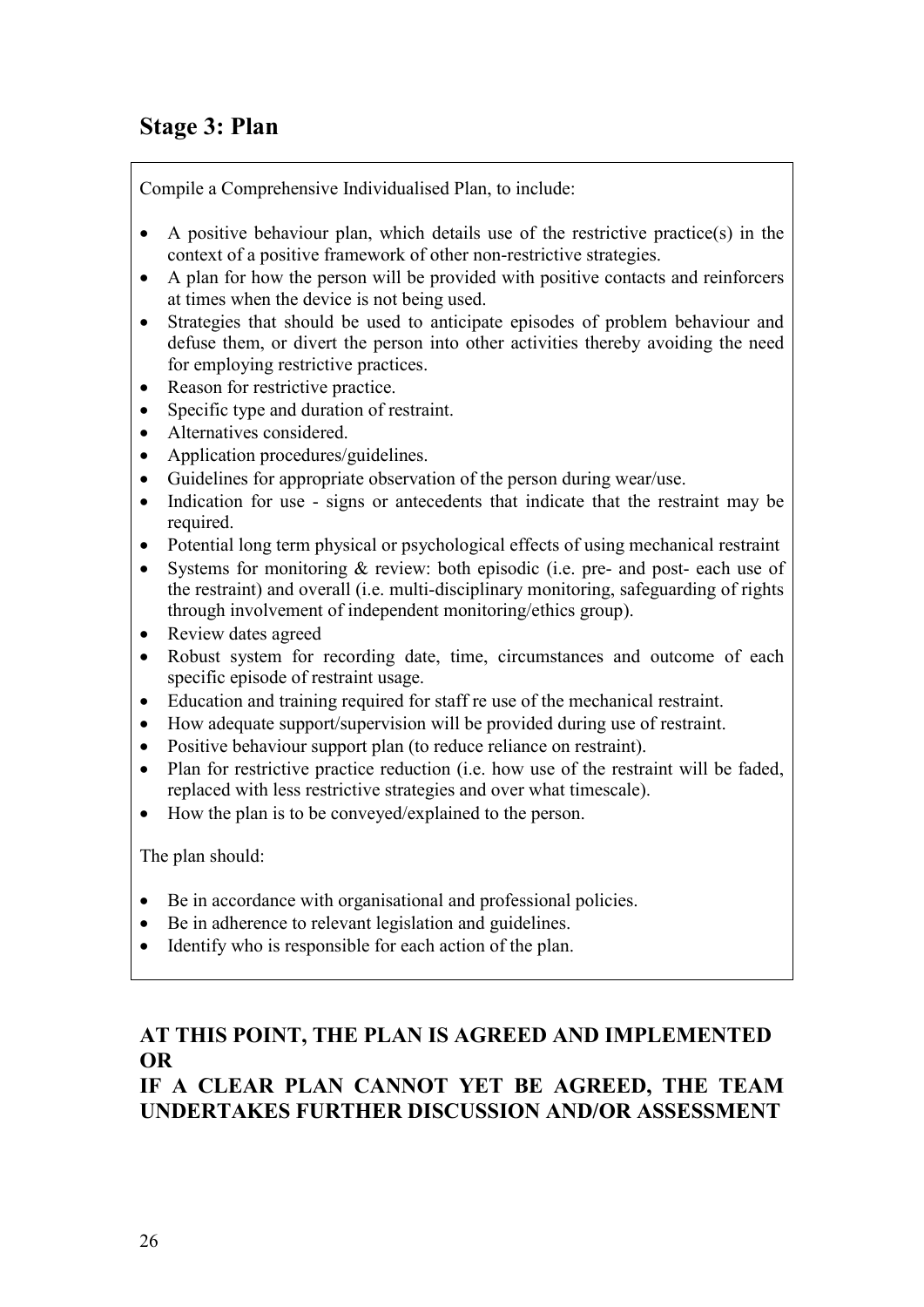# **Stage 3: Plan**

Compile a Comprehensive Individualised Plan, to include:

- A positive behaviour plan, which details use of the restrictive practice(s) in the context of a positive framework of other non-restrictive strategies.
- A plan for how the person will be provided with positive contacts and reinforcers at times when the device is not being used.
- Strategies that should be used to anticipate episodes of problem behaviour and defuse them, or divert the person into other activities thereby avoiding the need for employing restrictive practices.
- Reason for restrictive practice.
- Specific type and duration of restraint.
- Alternatives considered.
- Application procedures/guidelines.
- Guidelines for appropriate observation of the person during wear/use.
- Indication for use signs or antecedents that indicate that the restraint may be required.
- Potential long term physical or psychological effects of using mechanical restraint
- Systems for monitoring & review: both episodic (i.e. pre- and post- each use of the restraint) and overall (i.e. multi-disciplinary monitoring, safeguarding of rights through involvement of independent monitoring/ethics group).
- Review dates agreed
- Robust system for recording date, time, circumstances and outcome of each specific episode of restraint usage.
- Education and training required for staff re use of the mechanical restraint.
- How adequate support/supervision will be provided during use of restraint.
- Positive behaviour support plan (to reduce reliance on restraint).
- Plan for restrictive practice reduction (i.e. how use of the restraint will be faded, replaced with less restrictive strategies and over what timescale).
- How the plan is to be conveyed/explained to the person.

The plan should:

- Be in accordance with organisational and professional policies.
- Be in adherence to relevant legislation and guidelines.
- Identify who is responsible for each action of the plan.

# **AT THIS POINT, THE PLAN IS AGREED AND IMPLEMENTED OR**

## **IF A CLEAR PLAN CANNOT YET BE AGREED, THE TEAM UNDERTAKES FURTHER DISCUSSION AND/OR ASSESSMENT**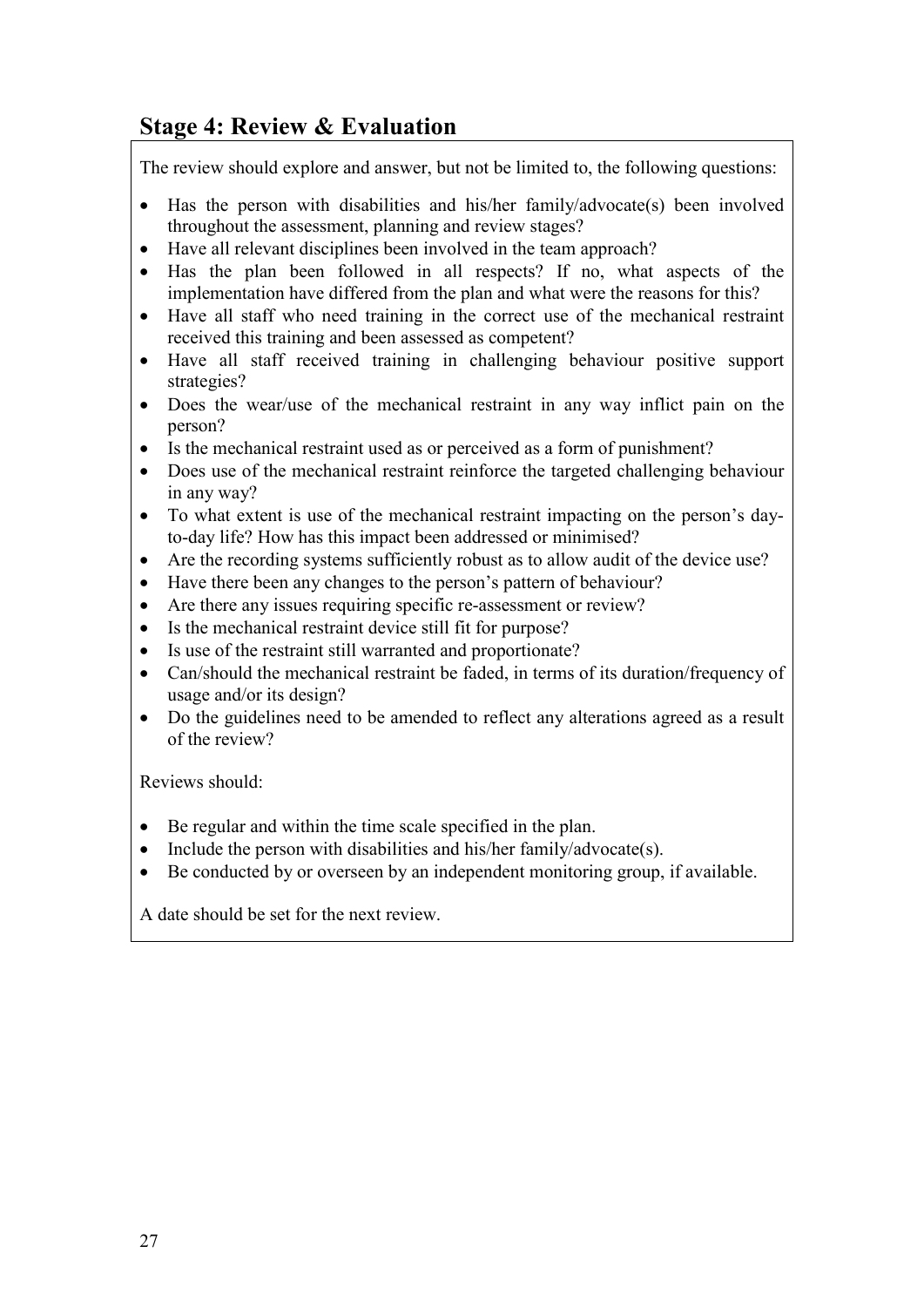# **Stage 4: Review & Evaluation**

The review should explore and answer, but not be limited to, the following questions:

- Has the person with disabilities and his/her family/advocate(s) been involved throughout the assessment, planning and review stages?
- Have all relevant disciplines been involved in the team approach?
- Has the plan been followed in all respects? If no, what aspects of the implementation have differed from the plan and what were the reasons for this?
- Have all staff who need training in the correct use of the mechanical restraint received this training and been assessed as competent?
- Have all staff received training in challenging behaviour positive support strategies?
- Does the wear/use of the mechanical restraint in any way inflict pain on the person?
- Is the mechanical restraint used as or perceived as a form of punishment?
- Does use of the mechanical restraint reinforce the targeted challenging behaviour in any way?
- To what extent is use of the mechanical restraint impacting on the person's dayto-day life? How has this impact been addressed or minimised?
- Are the recording systems sufficiently robust as to allow audit of the device use?
- Have there been any changes to the person's pattern of behaviour?
- Are there any issues requiring specific re-assessment or review?
- Is the mechanical restraint device still fit for purpose?
- Is use of the restraint still warranted and proportionate?
- Can/should the mechanical restraint be faded, in terms of its duration/frequency of usage and/or its design?
- Do the guidelines need to be amended to reflect any alterations agreed as a result of the review?

Reviews should:

- Be regular and within the time scale specified in the plan.
- Include the person with disabilities and his/her family/advocate(s).
- Be conducted by or overseen by an independent monitoring group, if available.

A date should be set for the next review.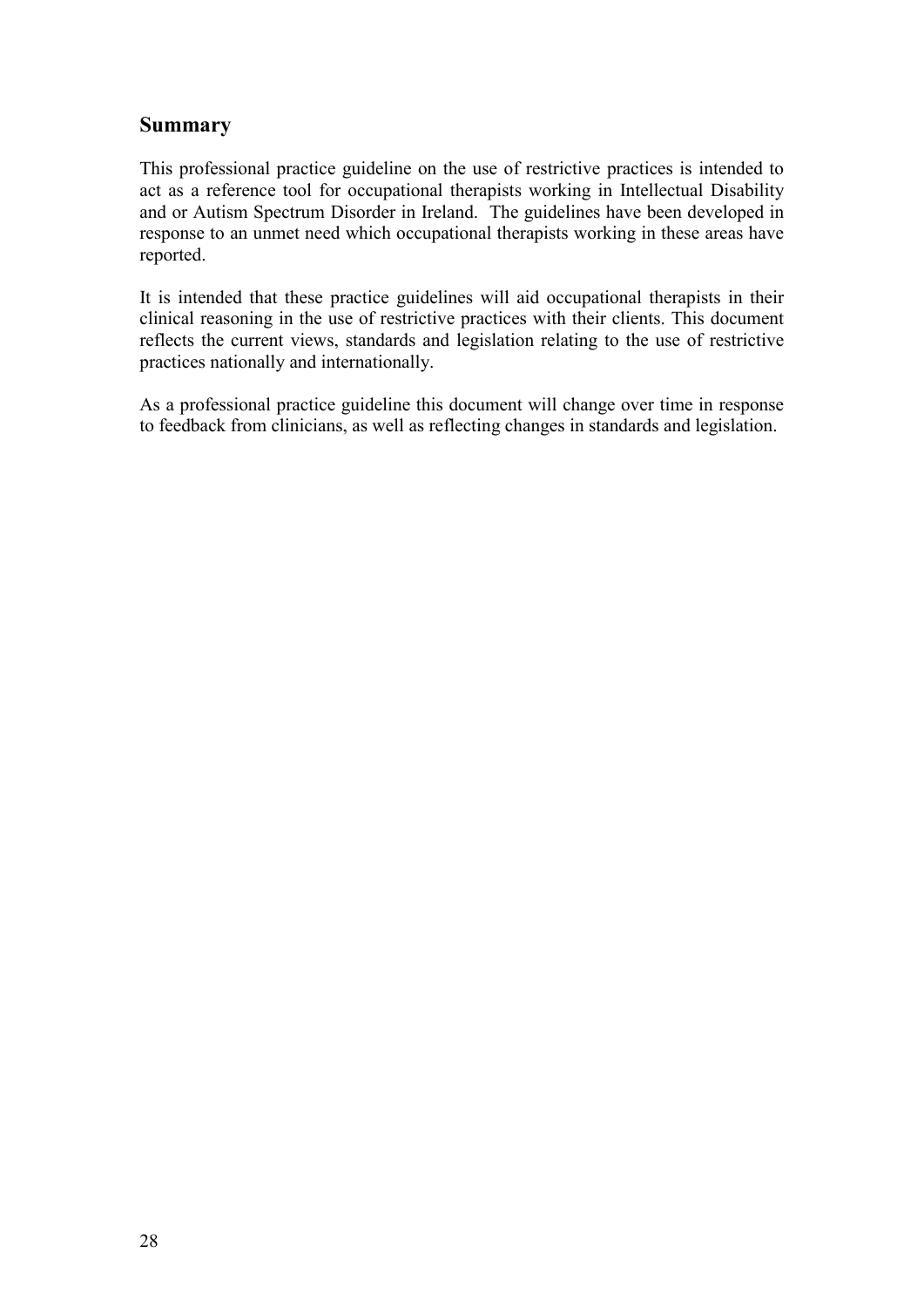### **Summary**

This professional practice guideline on the use of restrictive practices is intended to act as a reference tool for occupational therapists working in Intellectual Disability and or Autism Spectrum Disorder in Ireland. The guidelines have been developed in response to an unmet need which occupational therapists working in these areas have reported.

It is intended that these practice guidelines will aid occupational therapists in their clinical reasoning in the use of restrictive practices with their clients. This document reflects the current views, standards and legislation relating to the use of restrictive practices nationally and internationally.

As a professional practice guideline this document will change over time in response to feedback from clinicians, as well as reflecting changes in standards and legislation.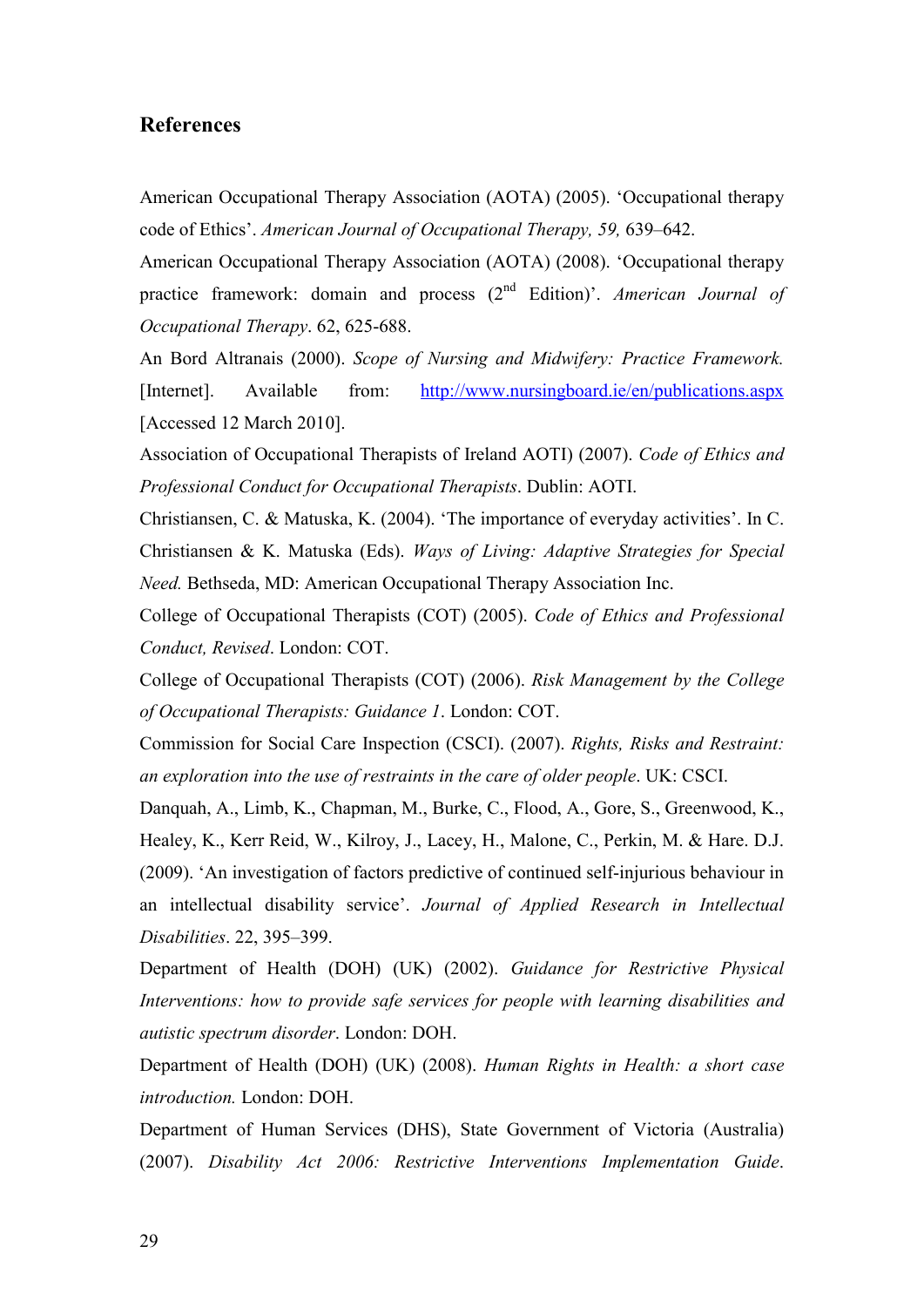#### **References**

American Occupational Therapy Association (AOTA) (2005). 'Occupational therapy code of Ethics'. *American Journal of Occupational Therapy, 59,* 639–642.

American Occupational Therapy Association (AOTA) (2008). 'Occupational therapy practice framework: domain and process (2<sup>nd</sup> Edition)'. *American Journal of Occupational Therapy*. 62, 625-688.

An Bord Altranais (2000). *Scope of Nursing and Midwifery: Practice Framework.* [Internet]. Available from: http://www.nursingboard.ie/en/publications.aspx [Accessed 12 March 2010].

Association of Occupational Therapists of Ireland AOTI) (2007). *Code of Ethics and Professional Conduct for Occupational Therapists*. Dublin: AOTI.

Christiansen, C. & Matuska, K. (2004). 'The importance of everyday activities'. In C. Christiansen & K. Matuska (Eds). *Ways of Living: Adaptive Strategies for Special Need.* Bethseda, MD: American Occupational Therapy Association Inc.

College of Occupational Therapists (COT) (2005). *Code of Ethics and Professional Conduct, Revised*. London: COT.

College of Occupational Therapists (COT) (2006). *Risk Management by the College of Occupational Therapists: Guidance 1*. London: COT.

Commission for Social Care Inspection (CSCI). (2007). *Rights, Risks and Restraint: an exploration into the use of restraints in the care of older people*. UK: CSCI.

Danquah, A., Limb, K., Chapman, M., Burke, C., Flood, A., Gore, S., Greenwood, K., Healey, K., Kerr Reid, W., Kilroy, J., Lacey, H., Malone, C., Perkin, M. & Hare. D.J. (2009). 'An investigation of factors predictive of continued self-injurious behaviour in an intellectual disability service'. *Journal of Applied Research in Intellectual Disabilities*. 22, 395–399.

Department of Health (DOH) (UK) (2002). *Guidance for Restrictive Physical Interventions: how to provide safe services for people with learning disabilities and autistic spectrum disorder*. London: DOH.

Department of Health (DOH) (UK) (2008). *Human Rights in Health: a short case introduction.* London: DOH.

Department of Human Services (DHS), State Government of Victoria (Australia) (2007). *Disability Act 2006: Restrictive Interventions Implementation Guide*.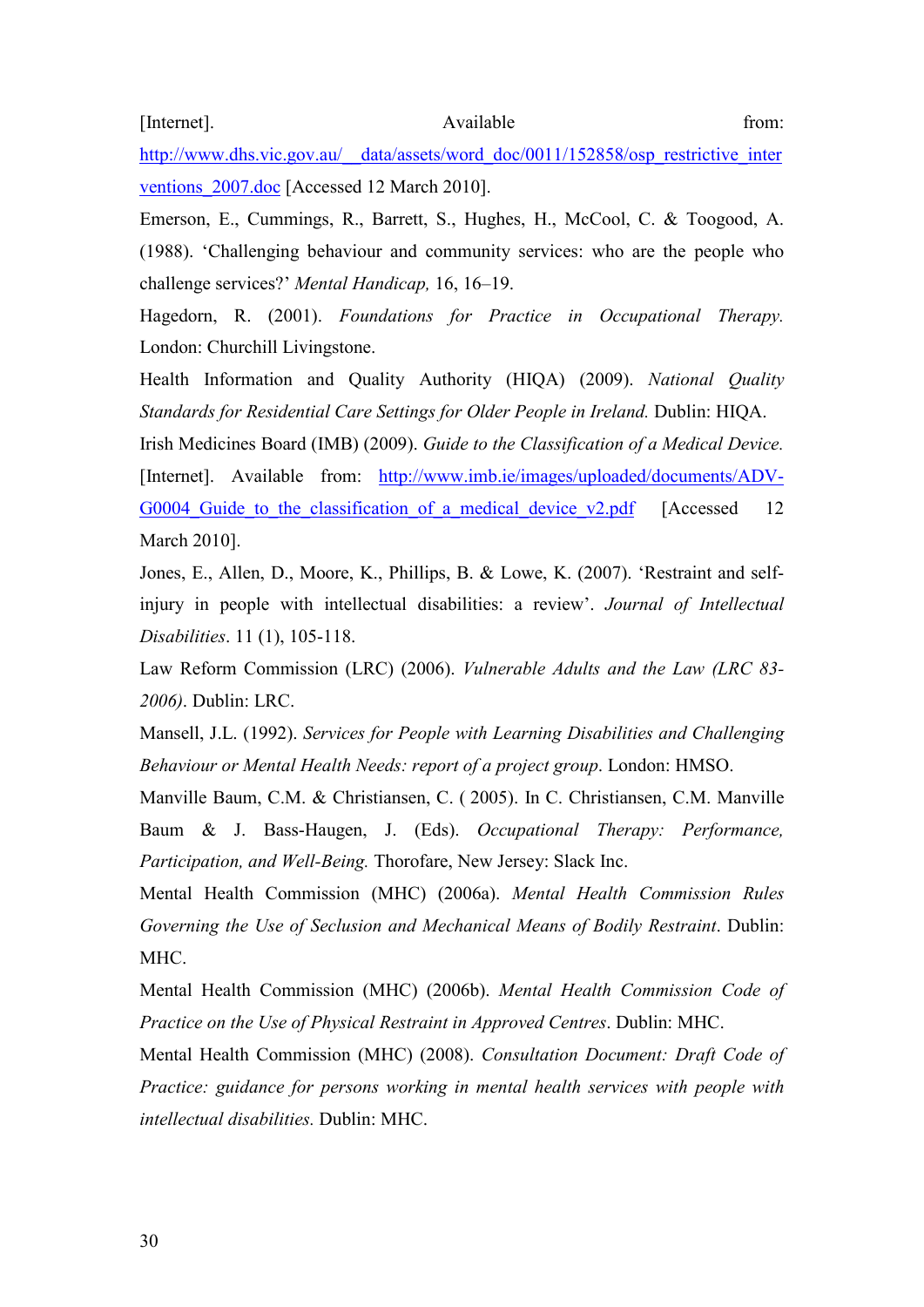[Internet]. Available from:

http://www.dhs.vic.gov.au/\_\_data/assets/word\_doc/0011/152858/osp\_restrictive\_inter ventions  $2007 \cdot \text{doc}$  [Accessed 12 March 2010].

Emerson, E., Cummings, R., Barrett, S., Hughes, H., McCool, C. & Toogood, A. (1988). 'Challenging behaviour and community services: who are the people who challenge services?' *Mental Handicap,* 16, 16–19.

Hagedorn, R. (2001). *Foundations for Practice in Occupational Therapy.* London: Churchill Livingstone.

Health Information and Quality Authority (HIQA) (2009). *National Quality Standards for Residential Care Settings for Older People in Ireland.* Dublin: HIQA.

Irish Medicines Board (IMB) (2009). *Guide to the Classification of a Medical Device.* [Internet]. Available from: http://www.imb.ie/images/uploaded/documents/ADV-G0004 Guide to the classification of a medical device v2.pdf [Accessed 12 March 2010].

Jones, E., Allen, D., Moore, K., Phillips, B. & Lowe, K. (2007). 'Restraint and selfinjury in people with intellectual disabilities: a review'. *Journal of Intellectual Disabilities*. 11 (1), 105-118.

Law Reform Commission (LRC) (2006). *Vulnerable Adults and the Law (LRC 83- 2006)*. Dublin: LRC.

Mansell, J.L. (1992). *Services for People with Learning Disabilities and Challenging Behaviour or Mental Health Needs: report of a project group*. London: HMSO.

Manville Baum, C.M. & Christiansen, C. ( 2005). In C. Christiansen, C.M. Manville Baum & J. Bass-Haugen, J. (Eds). *Occupational Therapy: Performance, Participation, and Well-Being.* Thorofare, New Jersey: Slack Inc.

Mental Health Commission (MHC) (2006a). *Mental Health Commission Rules Governing the Use of Seclusion and Mechanical Means of Bodily Restraint*. Dublin: MHC.

Mental Health Commission (MHC) (2006b). *Mental Health Commission Code of Practice on the Use of Physical Restraint in Approved Centres*. Dublin: MHC.

Mental Health Commission (MHC) (2008). *Consultation Document: Draft Code of Practice: guidance for persons working in mental health services with people with intellectual disabilities.* Dublin: MHC.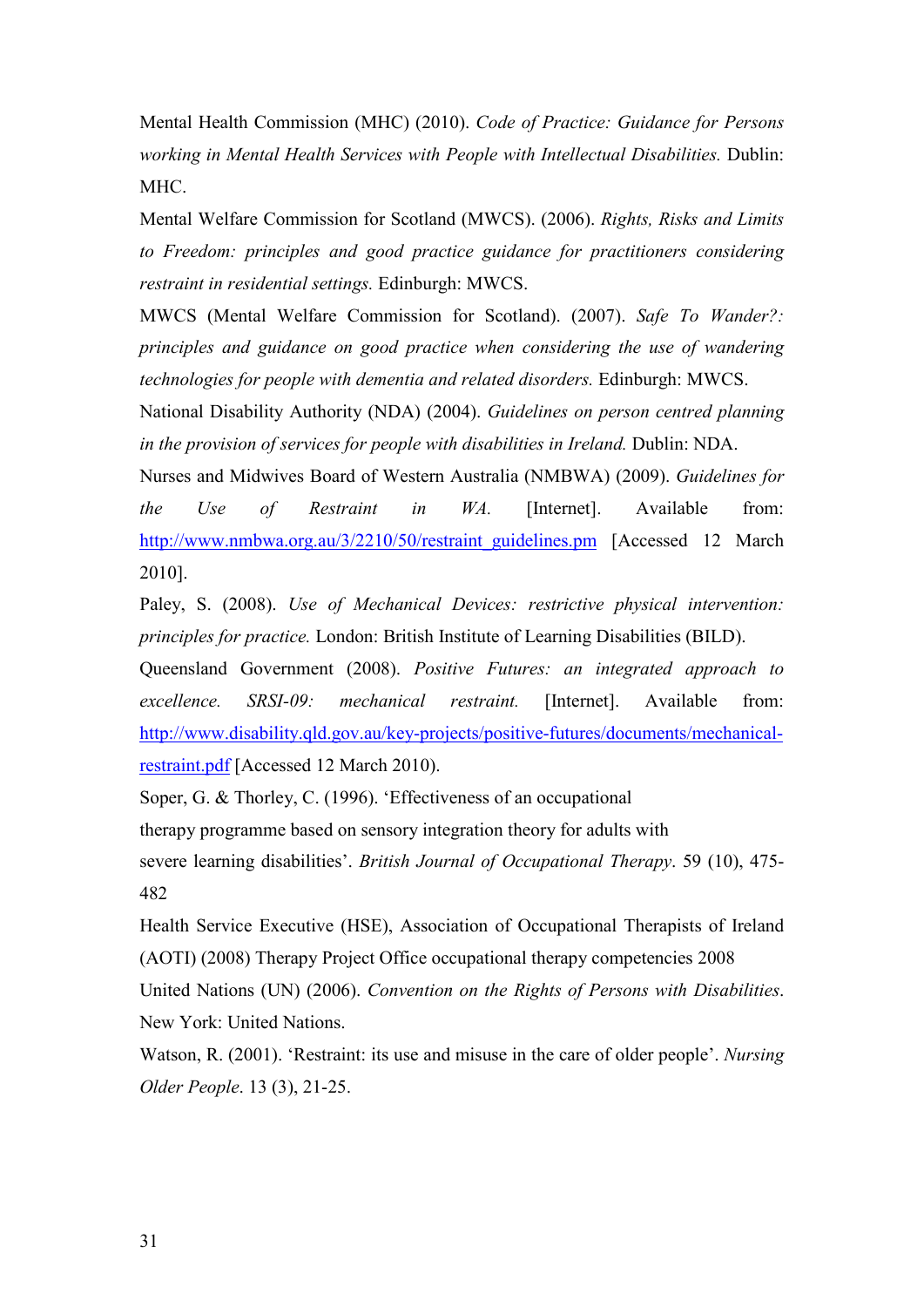Mental Health Commission (MHC) (2010). *Code of Practice: Guidance for Persons working in Mental Health Services with People with Intellectual Disabilities.* Dublin: MHC.

Mental Welfare Commission for Scotland (MWCS). (2006). *Rights, Risks and Limits to Freedom: principles and good practice guidance for practitioners considering restraint in residential settings.* Edinburgh: MWCS.

MWCS (Mental Welfare Commission for Scotland). (2007). *Safe To Wander?: principles and guidance on good practice when considering the use of wandering technologies for people with dementia and related disorders.* Edinburgh: MWCS.

National Disability Authority (NDA) (2004). *Guidelines on person centred planning in the provision of services for people with disabilities in Ireland.* Dublin: NDA.

Nurses and Midwives Board of Western Australia (NMBWA) (2009). *Guidelines for the Use of Restraint in WA.* [Internet]. Available from: http://www.nmbwa.org.au/3/2210/50/restraint\_guidelines.pm [Accessed 12 March] 2010].

Paley, S. (2008). *Use of Mechanical Devices: restrictive physical intervention: principles for practice.* London: British Institute of Learning Disabilities (BILD).

Queensland Government (2008). *Positive Futures: an integrated approach to excellence. SRSI-09: mechanical restraint.* [Internet]. Available from: http://www.disability.qld.gov.au/key-projects/positive-futures/documents/mechanicalrestraint.pdf [Accessed 12 March 2010).

Soper, G. & Thorley, C. (1996). 'Effectiveness of an occupational therapy programme based on sensory integration theory for adults with severe learning disabilities'. *British Journal of Occupational Therapy*. 59 (10), 475- 482

Health Service Executive (HSE), Association of Occupational Therapists of Ireland (AOTI) (2008) Therapy Project Office occupational therapy competencies 2008 United Nations (UN) (2006). *Convention on the Rights of Persons with Disabilities*. New York: United Nations.

Watson, R. (2001). 'Restraint: its use and misuse in the care of older people'. *Nursing Older People*. 13 (3), 21-25.